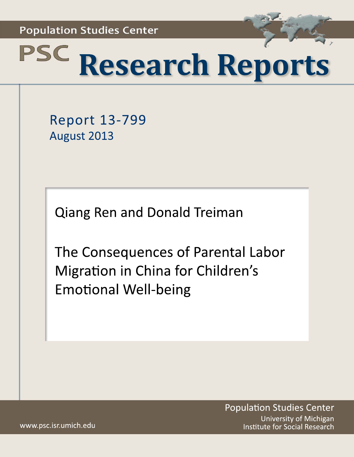**Population Studies Center** 

# PSC **Research Reports**

**Report 13-799** August 2013

**Qiang Ren and Donald Treiman** 

The Consequences of Parental Labor Migration in China for Children's **Emotional Well-being** 

> **Population Studies Center** University of Michigan Institute for Social Research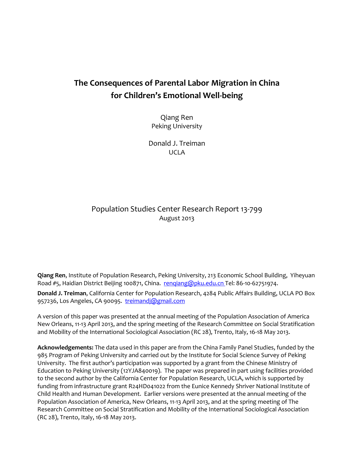# **The Consequences of Parental Labor Migration in China for Children's Emotional Well-being**

Qiang Ren Peking University

Donald J. Treiman UCLA

## Population Studies Center Research Report 13-799 August 2013

**Qiang Ren**, Institute of Population Research, Peking University, 213 Economic School Building, Yiheyuan Road #5, Haidian District Beijing 100871, China. [renqiang@pku.edu.cn](mailto:renqiang@pku.edu.cn) Tel: 86-10-62751974.

**Donald J. Treiman**, California Center for Population Research, 4284 Public Affairs Building, UCLA PO Box 957236, Los Angeles, CA 90095. [treimandj@gmail.com](mailto:treimandj@gmail.com)

A version of this paper was presented at the annual meeting of the Population Association of America New Orleans, 11-13 April 2013, and the spring meeting of the Research Committee on Social Stratification and Mobility of the International Sociological Association (RC 28), Trento, Italy, 16-18 May 2013.

**Acknowledgements:** The data used in this paper are from the China Family Panel Studies, funded by the 985 Program of Peking University and carried out by the Institute for Social Science Survey of Peking University. The first author's participation was supported by a grant from the Chinese Ministry of Education to Peking University (12YJA840019). The paper was prepared in part using facilities provided to the second author by the California Center for Population Research, UCLA, which is supported by funding from infrastructure grant R24HD041022 from the Eunice Kennedy Shriver National Institute of Child Health and Human Development. Earlier versions were presented at the annual meeting of the Population Association of America, New Orleans, 11-13 April 2013, and at the spring meeting of The Research Committee on Social Stratification and Mobility of the International Sociological Association (RC 28), Trento, Italy, 16-18 May 2013.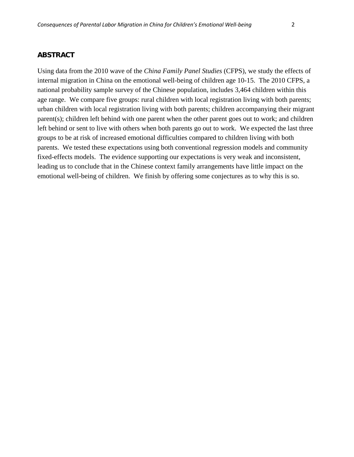#### **ABSTRACT**

Using data from the 2010 wave of the *China Family Panel Studies* (CFPS), we study the effects of internal migration in China on the emotional well-being of children age 10-15. The 2010 CFPS, a national probability sample survey of the Chinese population, includes 3,464 children within this age range. We compare five groups: rural children with local registration living with both parents; urban children with local registration living with both parents; children accompanying their migrant parent(s); children left behind with one parent when the other parent goes out to work; and children left behind or sent to live with others when both parents go out to work. We expected the last three groups to be at risk of increased emotional difficulties compared to children living with both parents. We tested these expectations using both conventional regression models and community fixed-effects models. The evidence supporting our expectations is very weak and inconsistent, leading us to conclude that in the Chinese context family arrangements have little impact on the emotional well-being of children. We finish by offering some conjectures as to why this is so.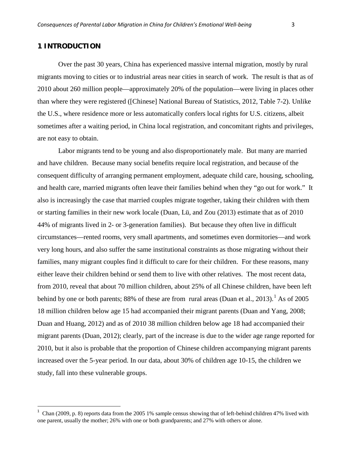#### **1 INTRODUCTION**

 $\overline{a}$ 

Over the past 30 years, China has experienced massive internal migration, mostly by rural migrants moving to cities or to industrial areas near cities in search of work. The result is that as of 2010 about 260 million people—approximately 20% of the population—were living in places other than where they were registered ([Chinese] National Bureau of Statistics, 2012, Table 7-2). Unlike the U.S., where residence more or less automatically confers local rights for U.S. citizens, albeit sometimes after a waiting period, in China local registration, and concomitant rights and privileges, are not easy to obtain.

Labor migrants tend to be young and also disproportionately male. But many are married and have children. Because many social benefits require local registration, and because of the consequent difficulty of arranging permanent employment, adequate child care, housing, schooling, and health care, married migrants often leave their families behind when they "go out for work." It also is increasingly the case that married couples migrate together, taking their children with them or starting families in their new work locale (Duan, Lü, and Zou (2013) estimate that as of 2010 44% of migrants lived in 2- or 3-generation families). But because they often live in difficult circumstances—rented rooms, very small apartments, and sometimes even dormitories—and work very long hours, and also suffer the same institutional constraints as those migrating without their families, many migrant couples find it difficult to care for their children. For these reasons, many either leave their children behind or send them to live with other relatives. The most recent data, from 2010, reveal that about 70 million children, about 25% of all Chinese children, have been left behind by one or both parents; 88% of these are from rural areas (Duan et al., 20[1](#page-3-0)3).<sup>1</sup> As of 2005 18 million children below age 15 had accompanied their migrant parents (Duan and Yang, 2008; Duan and Huang, 2012) and as of 2010 38 million children below age 18 had accompanied their migrant parents (Duan, 2012); clearly, part of the increase is due to the wider age range reported for 2010, but it also is probable that the proportion of Chinese children accompanying migrant parents increased over the 5-year period. In our data, about 30% of children age 10-15, the children we study, fall into these vulnerable groups.

<span id="page-3-0"></span><sup>1</sup> Chan (2009, p. 8) reports data from the 2005 1% sample census showing that of left-behind children 47% lived with one parent, usually the mother; 26% with one or both grandparents; and 27% with others or alone.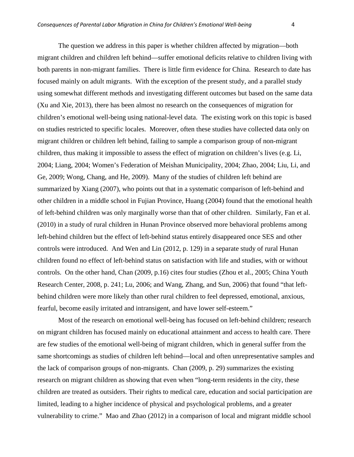The question we address in this paper is whether children affected by migration—both migrant children and children left behind—suffer emotional deficits relative to children living with both parents in non-migrant families. There is little firm evidence for China. Research to date has focused mainly on adult migrants. With the exception of the present study, and a parallel study using somewhat different methods and investigating different outcomes but based on the same data (Xu and Xie, 2013), there has been almost no research on the consequences of migration for children's emotional well-being using national-level data. The existing work on this topic is based on studies restricted to specific locales. Moreover, often these studies have collected data only on migrant children or children left behind, failing to sample a comparison group of non-migrant children, thus making it impossible to assess the effect of migration on children's lives (e.g. Li, 2004; Liang, 2004; Women's Federation of Meishan Municipality, 2004; Zhao, 2004; Liu, Li, and Ge, 2009; Wong, Chang, and He, 2009). Many of the studies of children left behind are summarized by Xiang (2007), who points out that in a systematic comparison of left-behind and other children in a middle school in Fujian Province, Huang (2004) found that the emotional health of left-behind children was only marginally worse than that of other children. Similarly, Fan et al. (2010) in a study of rural children in Hunan Province observed more behavioral problems among left-behind children but the effect of left-behind status entirely disappeared once SES and other controls were introduced. And Wen and Lin (2012, p. 129) in a separate study of rural Hunan children found no effect of left-behind status on satisfaction with life and studies, with or without controls. On the other hand, Chan (2009, p.16) cites four studies (Zhou et al., 2005; China Youth Research Center, 2008, p. 241; Lu, 2006; and Wang, Zhang, and Sun, 2006) that found "that leftbehind children were more likely than other rural children to feel depressed, emotional, anxious, fearful, become easily irritated and intransigent, and have lower self-esteem."

Most of the research on emotional well-being has focused on left-behind children; research on migrant children has focused mainly on educational attainment and access to health care. There are few studies of the emotional well-being of migrant children, which in general suffer from the same shortcomings as studies of children left behind—local and often unrepresentative samples and the lack of comparison groups of non-migrants. Chan (2009, p. 29) summarizes the existing research on migrant children as showing that even when "long-term residents in the city, these children are treated as outsiders. Their rights to medical care, education and social participation are limited, leading to a higher incidence of physical and psychological problems, and a greater vulnerability to crime." Mao and Zhao (2012) in a comparison of local and migrant middle school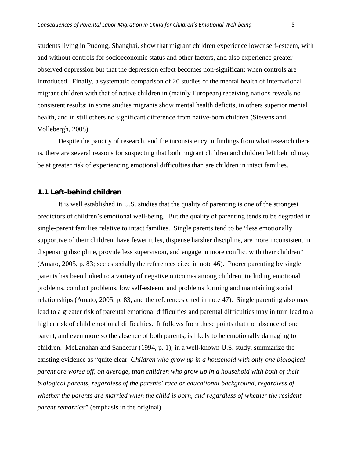students living in Pudong, Shanghai, show that migrant children experience lower self-esteem, with and without controls for socioeconomic status and other factors, and also experience greater observed depression but that the depression effect becomes non-significant when controls are introduced. Finally, a systematic comparison of 20 studies of the mental health of international migrant children with that of native children in (mainly European) receiving nations reveals no consistent results; in some studies migrants show mental health deficits, in others superior mental health, and in still others no significant difference from native-born children (Stevens and Vollebergh, 2008).

Despite the paucity of research, and the inconsistency in findings from what research there is, there are several reasons for suspecting that both migrant children and children left behind may be at greater risk of experiencing emotional difficulties than are children in intact families.

#### **1.1 Left-behind children**

It is well established in U.S. studies that the quality of parenting is one of the strongest predictors of children's emotional well-being. But the quality of parenting tends to be degraded in single-parent families relative to intact families. Single parents tend to be "less emotionally supportive of their children, have fewer rules, dispense harsher discipline, are more inconsistent in dispensing discipline, provide less supervision, and engage in more conflict with their children" (Amato, 2005, p. 83; see especially the references cited in note 46). Poorer parenting by single parents has been linked to a variety of negative outcomes among children, including emotional problems, conduct problems, low self-esteem, and problems forming and maintaining social relationships (Amato, 2005, p. 83, and the references cited in note 47). Single parenting also may lead to a greater risk of parental emotional difficulties and parental difficulties may in turn lead to a higher risk of child emotional difficulties. It follows from these points that the absence of one parent, and even more so the absence of both parents, is likely to be emotionally damaging to children. McLanahan and Sandefur (1994, p. 1), in a well-known U.S. study, summarize the existing evidence as "quite clear: *Children who grow up in a household with only one biological parent are worse off, on average, than children who grow up in a household with both of their biological parents, regardless of the parents' race or educational background, regardless of whether the parents are married when the child is born, and regardless of whether the resident parent remarries"* (emphasis in the original).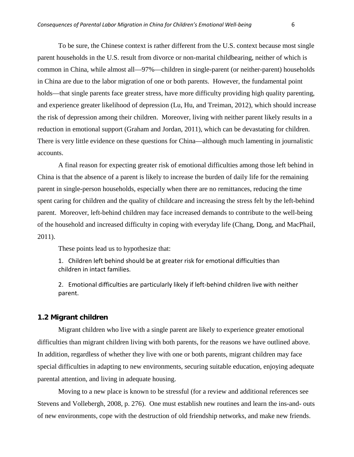To be sure, the Chinese context is rather different from the U.S. context because most single parent households in the U.S. result from divorce or non-marital childbearing, neither of which is common in China, while almost all—97%—children in single-parent (or neither-parent) households in China are due to the labor migration of one or both parents. However, the fundamental point holds—that single parents face greater stress, have more difficulty providing high quality parenting, and experience greater likelihood of depression (Lu, Hu, and Treiman, 2012), which should increase the risk of depression among their children. Moreover, living with neither parent likely results in a reduction in emotional support (Graham and Jordan, 2011), which can be devastating for children. There is very little evidence on these questions for China—although much lamenting in journalistic accounts.

A final reason for expecting greater risk of emotional difficulties among those left behind in China is that the absence of a parent is likely to increase the burden of daily life for the remaining parent in single-person households, especially when there are no remittances, reducing the time spent caring for children and the quality of childcare and increasing the stress felt by the left-behind parent. Moreover, left-behind children may face increased demands to contribute to the well-being of the household and increased difficulty in coping with everyday life (Chang, Dong, and MacPhail, 2011).

These points lead us to hypothesize that:

1. Children left behind should be at greater risk for emotional difficulties than children in intact families.

2. Emotional difficulties are particularly likely if left-behind children live with neither parent.

#### **1.2 Migrant children**

Migrant children who live with a single parent are likely to experience greater emotional difficulties than migrant children living with both parents, for the reasons we have outlined above. In addition, regardless of whether they live with one or both parents, migrant children may face special difficulties in adapting to new environments, securing suitable education, enjoying adequate parental attention, and living in adequate housing.

Moving to a new place is known to be stressful (for a review and additional references see Stevens and Vollebergh, 2008, p. 276). One must establish new routines and learn the ins-and- outs of new environments, cope with the destruction of old friendship networks, and make new friends.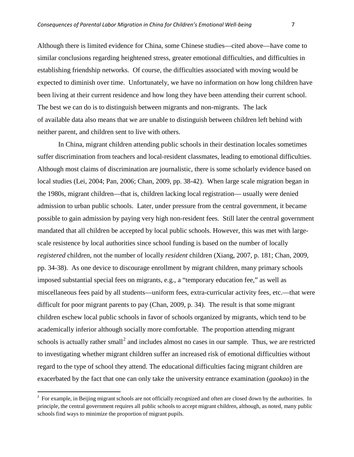Although there is limited evidence for China, some Chinese studies—cited above—have come to similar conclusions regarding heightened stress, greater emotional difficulties, and difficulties in establishing friendship networks. Of course, the difficulties associated with moving would be expected to diminish over time. Unfortunately, we have no information on how long children have been living at their current residence and how long they have been attending their current school. The best we can do is to distinguish between migrants and non-migrants. The lack of available data also means that we are unable to distinguish between children left behind with neither parent, and children sent to live with others.

In China, migrant children attending public schools in their destination locales sometimes suffer discrimination from teachers and local-resident classmates, leading to emotional difficulties. Although most claims of discrimination are journalistic, there is some scholarly evidence based on local studies (Lei, 2004; Pan, 2006; Chan, 2009, pp. 38-42). When large scale migration began in the 1980s, migrant children—that is, children lacking local registration— usually were denied admission to urban public schools. Later, under pressure from the central government, it became possible to gain admission by paying very high non-resident fees. Still later the central government mandated that all children be accepted by local public schools. However, this was met with largescale resistence by local authorities since school funding is based on the number of locally *registered* children, not the number of locally *resident* children (Xiang, 2007, p. 181; Chan, 2009, pp. 34-38). As one device to discourage enrollment by migrant children, many primary schools imposed substantial special fees on migrants, e.g., a "temporary education fee," as well as miscellaneous fees paid by all students—uniform fees, extra-curricular activity fees, etc.—that were difficult for poor migrant parents to pay (Chan, 2009, p. 34). The result is that some migrant children eschew local public schools in favor of schools organized by migrants, which tend to be academically inferior although socially more comfortable. The proportion attending migrant schools is actually rather small<sup>[2](#page-7-0)</sup> and includes almost no cases in our sample. Thus, we are restricted to investigating whether migrant children suffer an increased risk of emotional difficulties without regard to the type of school they attend. The educational difficulties facing migrant children are exacerbated by the fact that one can only take the university entrance examination (*gaokao*) in the

 $\overline{a}$ 

<span id="page-7-0"></span><sup>&</sup>lt;sup>2</sup> For example, in Beijing migrant schools are not officially recognized and often are closed down by the authorities. In principle, the central government requires all public schools to accept migrant children, although, as noted, many public schools find ways to minimize the proportion of migrant pupils.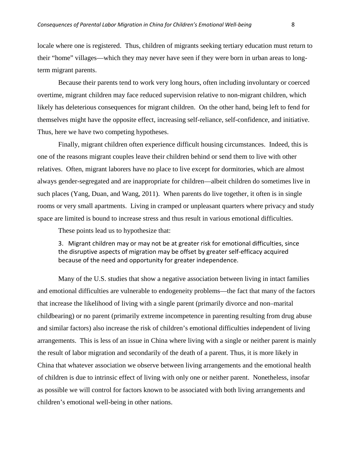locale where one is registered. Thus, children of migrants seeking tertiary education must return to their "home" villages—which they may never have seen if they were born in urban areas to longterm migrant parents.

Because their parents tend to work very long hours, often including involuntary or coerced overtime, migrant children may face reduced supervision relative to non-migrant children, which likely has deleterious consequences for migrant children. On the other hand, being left to fend for themselves might have the opposite effect, increasing self-reliance, self-confidence, and initiative. Thus, here we have two competing hypotheses.

Finally, migrant children often experience difficult housing circumstances. Indeed, this is one of the reasons migrant couples leave their children behind or send them to live with other relatives. Often, migrant laborers have no place to live except for dormitories, which are almost always gender-segregated and are inappropriate for children—albeit children do sometimes live in such places (Yang, Duan, and Wang, 2011). When parents do live together, it often is in single rooms or very small apartments. Living in cramped or unpleasant quarters where privacy and study space are limited is bound to increase stress and thus result in various emotional difficulties.

These points lead us to hypothesize that:

3. Migrant children may or may not be at greater risk for emotional difficulties, since the disruptive aspects of migration may be offset by greater self-efficacy acquired because of the need and opportunity for greater independence.

Many of the U.S. studies that show a negative association between living in intact families and emotional difficulties are vulnerable to endogeneity problems—the fact that many of the factors that increase the likelihood of living with a single parent (primarily divorce and non–marital childbearing) or no parent (primarily extreme incompetence in parenting resulting from drug abuse and similar factors) also increase the risk of children's emotional difficulties independent of living arrangements. This is less of an issue in China where living with a single or neither parent is mainly the result of labor migration and secondarily of the death of a parent. Thus, it is more likely in China that whatever association we observe between living arrangements and the emotional health of children is due to intrinsic effect of living with only one or neither parent. Nonetheless, insofar as possible we will control for factors known to be associated with both living arrangements and children's emotional well-being in other nations.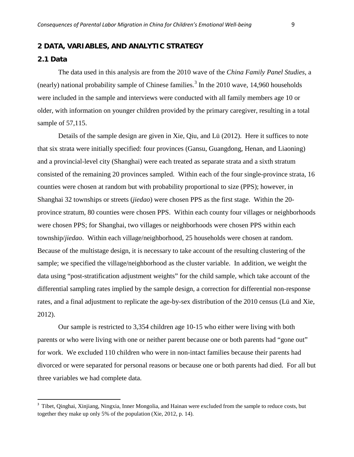#### **2 DATA, VARIABLES, AND ANALYTIC STRATEGY**

#### **2.1 Data**

 $\overline{a}$ 

The data used in this analysis are from the 2010 wave of the *China Family Panel Studies*, a (nearly) national probability sample of Chinese families. [3](#page-9-0) In the 2010 wave, 14,960 households were included in the sample and interviews were conducted with all family members age 10 or older, with information on younger children provided by the primary caregiver, resulting in a total sample of 57,115.

Details of the sample design are given in Xie, Qiu, and Lü (2012). Here it suffices to note that six strata were initially specified: four provinces (Gansu, Guangdong, Henan, and Liaoning) and a provincial-level city (Shanghai) were each treated as separate strata and a sixth stratum consisted of the remaining 20 provinces sampled. Within each of the four single-province strata, 16 counties were chosen at random but with probability proportional to size (PPS); however, in Shanghai 32 townships or streets (*jiedao*) were chosen PPS as the first stage. Within the 20 province stratum, 80 counties were chosen PPS. Within each county four villages or neighborhoods were chosen PPS; for Shanghai, two villages or neighborhoods were chosen PPS within each township/*jiedao*. Within each village/neighborhood, 25 households were chosen at random. Because of the multistage design, it is necessary to take account of the resulting clustering of the sample; we specified the village/neighborhood as the cluster variable. In addition, we weight the data using "post-stratification adjustment weights" for the child sample, which take account of the differential sampling rates implied by the sample design, a correction for differential non-response rates, and a final adjustment to replicate the age-by-sex distribution of the 2010 census (Lü and Xie, 2012).

Our sample is restricted to 3,354 children age 10-15 who either were living with both parents or who were living with one or neither parent because one or both parents had "gone out" for work. We excluded 110 children who were in non-intact families because their parents had divorced or were separated for personal reasons or because one or both parents had died. For all but three variables we had complete data.

<span id="page-9-0"></span><sup>&</sup>lt;sup>3</sup> Tibet, Qinghai, Xinjiang, Ningxia, Inner Mongolia, and Hainan were excluded from the sample to reduce costs, but together they make up only 5% of the population (Xie, 2012, p. 14).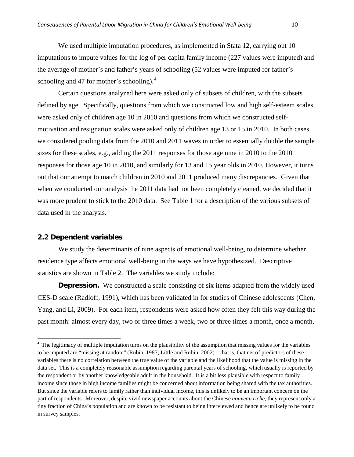We used multiple imputation procedures, as implemented in Stata 12, carrying out 10 imputations to impute values for the log of per capita family income (227 values were imputed) and the average of mother's and father's years of schooling (52 values were imputed for father's schooling and [4](#page-10-0)7 for mother's schooling). $4$ 

Certain questions analyzed here were asked only of subsets of children, with the subsets defined by age. Specifically, questions from which we constructed low and high self-esteem scales were asked only of children age 10 in 2010 and questions from which we constructed selfmotivation and resignation scales were asked only of children age 13 or 15 in 2010. In both cases, we considered pooling data from the 2010 and 2011 waves in order to essentially double the sample sizes for these scales, e.g., adding the 2011 responses for those age nine in 2010 to the 2010 responses for those age 10 in 2010, and similarly for 13 and 15 year olds in 2010. However, it turns out that our attempt to match children in 2010 and 2011 produced many discrepancies. Given that when we conducted our analysis the 2011 data had not been completely cleaned, we decided that it was more prudent to stick to the 2010 data. See Table 1 for a description of the various subsets of data used in the analysis.

#### **2.2 Dependent variables**

 $\overline{a}$ 

We study the determinants of nine aspects of emotional well-being, to determine whether residence type affects emotional well-being in the ways we have hypothesized. Descriptive statistics are shown in Table 2. The variables we study include:

**Depression.** We constructed a scale consisting of six items adapted from the widely used CES-D scale (Radloff, 1991), which has been validated in for studies of Chinese adolescents (Chen, Yang, and Li, 2009). For each item, respondents were asked how often they felt this way during the past month: almost every day, two or three times a week, two or three times a month, once a month,

<span id="page-10-0"></span><sup>&</sup>lt;sup>4</sup> The legitimacy of multiple imputation turns on the plausibility of the assumption that missing values for the variables to be imputed are "missing at random" (Rubin, 1987; Little and Rubin, 2002)—that is, that net of predictors of these variables there is no correlation between the true value of the variable and the likelihood that the value is missing in the data set. This is a completely reasonable assumption regarding parental years of schooling, which usually is reported by the respondent or by another knowledgeable adult in the household. It is a bit less plausible with respect to family income since those in high income families might be concerned about information being shared with the tax authorities. But since the variable refers to family rather than individual income, this is unlikely to be an important concern on the part of respondents. Moreover, despite vivid newspaper accounts about the Chinese *nouveau riche*, they represent only a tiny fraction of China's population and are known to be resistant to being interviewed and hence are unlikely to be found in survey samples.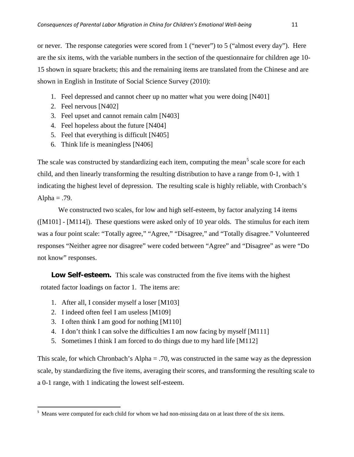or never. The response categories were scored from 1 ("never") to 5 ("almost every day"). Here are the six items, with the variable numbers in the section of the questionnaire for children age 10- 15 shown in square brackets; this and the remaining items are translated from the Chinese and are shown in English in Institute of Social Science Survey (2010):

- 1. Feel depressed and cannot cheer up no matter what you were doing [N401]
- 2. Feel nervous [N402]
- 3. Feel upset and cannot remain calm [N403]
- 4. Feel hopeless about the future [N404]
- 5. Feel that everything is difficult [N405]
- 6. Think life is meaningless [N406]

The scale was constructed by standardizing each item, computing the mean<sup>[5](#page-11-0)</sup> scale score for each child, and then linearly transforming the resulting distribution to have a range from 0-1, with 1 indicating the highest level of depression. The resulting scale is highly reliable, with Cronbach's Alpha  $= .79$ .

We constructed two scales, for low and high self-esteem, by factor analyzing 14 items ([M101] - [M114]). These questions were asked only of 10 year olds. The stimulus for each item was a four point scale: "Totally agree," "Agree," "Disagree," and "Totally disagree." Volunteered responses "Neither agree nor disagree" were coded between "Agree" and "Disagree" as were "Do not know" responses.

**Low Self-esteem.** This scale was constructed from the five items with the highest rotated factor loadings on factor 1. The items are:

- 1. After all, I consider myself a loser [M103]
- 2. I indeed often feel I am useless [M109]

 $\overline{a}$ 

- 3. I often think I am good for nothing [M110]
- 4. I don't think I can solve the difficulties I am now facing by myself [M111]
- 5. Sometimes I think I am forced to do things due to my hard life [M112]

This scale, for which Chronbach's Alpha = .70, was constructed in the same way as the depression scale, by standardizing the five items, averaging their scores, and transforming the resulting scale to a 0-1 range, with 1 indicating the lowest self-esteem.

<span id="page-11-0"></span><sup>&</sup>lt;sup>5</sup> Means were computed for each child for whom we had non-missing data on at least three of the six items.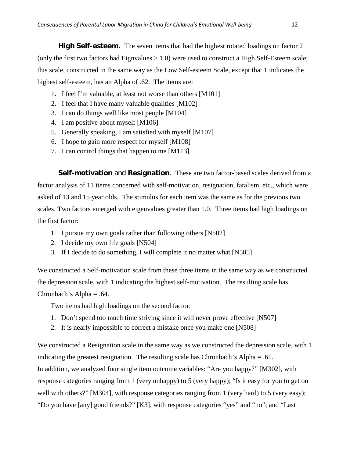**High Self-esteem.** The seven items that had the highest rotated loadings on factor 2 (only the first two factors had Eignvalues  $> 1.0$ ) were used to construct a High Self-Esteem scale; this scale, constructed in the same way as the Low Self-esteem Scale, except that 1 indicates the highest self-esteem, has an Alpha of .62. The items are:

- 1. I feel I'm valuable, at least not worse than others [M101]
- 2. I feel that I have many valuable qualities [M102]
- 3. I can do things well like most people [M104]
- 4. I am positive about myself [M106]
- 5. Generally speaking, I am satisfied with myself [M107]
- 6. I hope to gain more respect for myself [M108]
- 7. I can control things that happen to me [M113]

**Self-motivation** and **Resignation**. These are two factor-based scales derived from a factor analysis of 11 items concerned with self-motivation, resignation, fatalism, etc., which were asked of 13 and 15 year olds. The stimulus for each item was the same as for the previous two scales. Two factors emerged with eigenvalues greater than 1.0. Three items had high loadings on the first factor:

- 1. I pursue my own goals rather than following others [N502]
- 2. I decide my own life goals [N504]
- 3. If I decide to do something, I will complete it no matter what [N505]

We constructed a Self-motivation scale from these three items in the same way as we constructed the depression scale, with 1 indicating the highest self-motivation. The resulting scale has Chronbach's Alpha  $= .64$ .

Two items had high loadings on the second factor:

- 1. Don't spend too much time striving since it will never prove effective [N507]
- 2. It is nearly impossible to correct a mistake once you make one [N508]

We constructed a Resignation scale in the same way as we constructed the depression scale, with 1 indicating the greatest resignation. The resulting scale has Chronbach's Alpha = .61. In addition, we analyzed four single item outcome variables: "Are you happy?" [M302], with response categories ranging from 1 (very unhappy) to 5 (very happy); "Is it easy for you to get on well with others?" [M304], with response categories ranging from 1 (very hard) to 5 (very easy); "Do you have [any] good friends?" [K3], with response categories "yes" and "no"; and "Last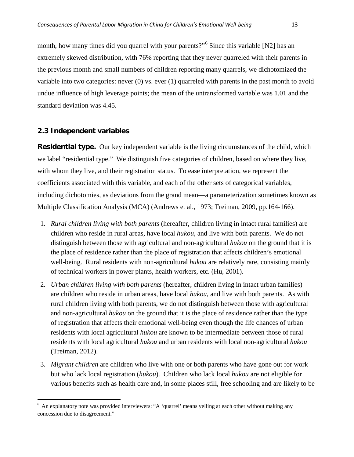month, how many times did you quarrel with your parents?"<sup>[6](#page-13-0)</sup> Since this variable [N2] has an extremely skewed distribution, with 76% reporting that they never quarreled with their parents in the previous month and small numbers of children reporting many quarrels, we dichotomized the variable into two categories: never (0) vs. ever (1) quarreled with parents in the past month to avoid undue influence of high leverage points; the mean of the untransformed variable was 1.01 and the standard deviation was 4.45.

#### **2.3 Independent variables**

 $\overline{a}$ 

**Residential type.** Our key independent variable is the living circumstances of the child, which we label "residential type." We distinguish five categories of children, based on where they live, with whom they live, and their registration status. To ease interpretation, we represent the coefficients associated with this variable, and each of the other sets of categorical variables, including dichotomies, as deviations from the grand mean—a parameterization sometimes known as Multiple Classification Analysis (MCA) (Andrews et al., 1973; Treiman, 2009, pp.164-166).

- 1. *Rural children living with both parents* (hereafter, children living in intact rural families) are children who reside in rural areas, have local *hukou*, and live with both parents. We do not distinguish between those with agricultural and non-agricultural *hukou* on the ground that it is the place of residence rather than the place of registration that affects children's emotional well-being. Rural residents with non-agricultural *hukou* are relatively rare, consisting mainly of technical workers in power plants, health workers, etc. (Hu, 2001).
- 2. *Urban children living with both parents* (hereafter, children living in intact urban families) are children who reside in urban areas, have local *hukou*, and live with both parents. As with rural children living with both parents, we do not distinguish between those with agricultural and non-agricultural *hukou* on the ground that it is the place of residence rather than the type of registration that affects their emotional well-being even though the life chances of urban residents with local agricultural *hukou* are known to be intermediate between those of rural residents with local agricultural *hukou* and urban residents with local non-agricultural *hukou*  (Treiman, 2012).
- 3. *Migrant children* are children who live with one or both parents who have gone out for work but who lack local registration (*hukou*). Children who lack local *hukou* are not eligible for various benefits such as health care and, in some places still, free schooling and are likely to be

<span id="page-13-0"></span><sup>&</sup>lt;sup>6</sup> An explanatory note was provided interviewers: "A 'quarrel' means yelling at each other without making any concession due to disagreement."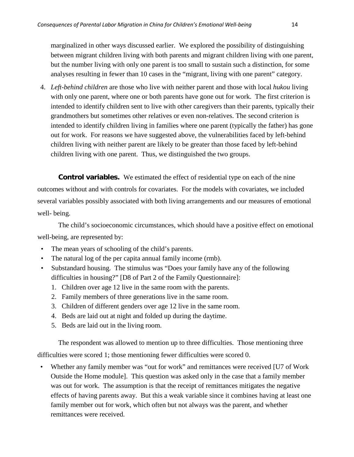marginalized in other ways discussed earlier. We explored the possibility of distinguishing between migrant children living with both parents and migrant children living with one parent, but the number living with only one parent is too small to sustain such a distinction, for some analyses resulting in fewer than 10 cases in the "migrant, living with one parent" category.

4. *Left-behind children* are those who live with neither parent and those with local *hukou* living with only one parent, where one or both parents have gone out for work. The first criterion is intended to identify children sent to live with other caregivers than their parents, typically their grandmothers but sometimes other relatives or even non-relatives. The second criterion is intended to identify children living in families where one parent (typically the father) has gone out for work. For reasons we have suggested above, the vulnerabilities faced by left-behind children living with neither parent are likely to be greater than those faced by left-behind children living with one parent. Thus, we distinguished the two groups.

**Control variables.** We estimated the effect of residential type on each of the nine outcomes without and with controls for covariates. For the models with covariates, we included several variables possibly associated with both living arrangements and our measures of emotional well- being.

 The child's socioeconomic circumstances, which should have a positive effect on emotional well-being, are represented by:

- The mean years of schooling of the child's parents.
- The natural log of the per capita annual family income (rmb).
- Substandard housing. The stimulus was "Does your family have any of the following difficulties in housing?" [D8 of Part 2 of the Family Questionnaire]:
	- 1. Children over age 12 live in the same room with the parents.
	- 2. Family members of three generations live in the same room.
	- 3. Children of different genders over age 12 live in the same room.
	- 4. Beds are laid out at night and folded up during the daytime.
	- 5. Beds are laid out in the living room.

 The respondent was allowed to mention up to three difficulties. Those mentioning three difficulties were scored 1; those mentioning fewer difficulties were scored 0.

• Whether any family member was "out for work" and remittances were received [U7 of Work Outside the Home module]. This question was asked only in the case that a family member was out for work. The assumption is that the receipt of remittances mitigates the negative effects of having parents away. But this a weak variable since it combines having at least one family member out for work, which often but not always was the parent, and whether remittances were received.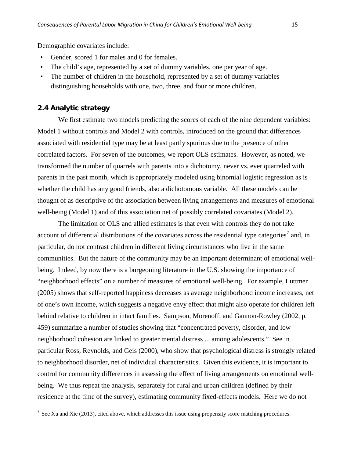Demographic covariates include:

- Gender, scored 1 for males and 0 for females.
- The child's age, represented by a set of dummy variables, one per year of age.
- The number of children in the household, represented by a set of dummy variables distinguishing households with one, two, three, and four or more children.

#### **2.4 Analytic strategy**

 We first estimate two models predicting the scores of each of the nine dependent variables: Model 1 without controls and Model 2 with controls, introduced on the ground that differences associated with residential type may be at least partly spurious due to the presence of other correlated factors. For seven of the outcomes, we report OLS estimates. However, as noted, we transformed the number of quarrels with parents into a dichotomy, never vs. ever quarreled with parents in the past month, which is appropriately modeled using binomial logistic regression as is whether the child has any good friends, also a dichotomous variable. All these models can be thought of as descriptive of the association between living arrangements and measures of emotional well-being (Model 1) and of this association net of possibly correlated covariates (Model 2).

The limitation of OLS and allied estimates is that even with controls they do not take account of differential distributions of the covariates across the residential type categories<sup>[7](#page-15-0)</sup> and, in particular, do not contrast children in different living circumstances who live in the same communities. But the nature of the community may be an important determinant of emotional wellbeing. Indeed, by now there is a burgeoning literature in the U.S. showing the importance of "neighborhood effects" on a number of measures of emotional well-being. For example, Luttmer (2005) shows that self-reported happiness decreases as average neighborhood income increases, net of one's own income, which suggests a negative envy effect that might also operate for children left behind relative to children in intact families. Sampson, Morenoff, and Gannon-Rowley (2002, p. 459) summarize a number of studies showing that "concentrated poverty, disorder, and low neighborhood cohesion are linked to greater mental distress ... among adolescents." See in particular Ross, Reynolds, and Geis (2000), who show that psychological distress is strongly related to neighborhood disorder, net of individual characteristics. Given this evidence, it is important to control for community differences in assessing the effect of living arrangements on emotional wellbeing. We thus repeat the analysis, separately for rural and urban children (defined by their residence at the time of the survey), estimating community fixed-effects models. Here we do not

<span id="page-15-0"></span><sup>&</sup>lt;sup>7</sup> See Xu and Xie (2013), cited above, which addresses this issue using propensity score matching procedures.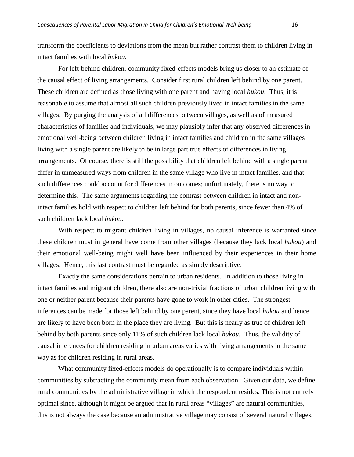transform the coefficients to deviations from the mean but rather contrast them to children living in intact families with local *hukou*.

For left-behind children, community fixed-effects models bring us closer to an estimate of the causal effect of living arrangements. Consider first rural children left behind by one parent. These children are defined as those living with one parent and having local *hukou*. Thus, it is reasonable to assume that almost all such children previously lived in intact families in the same villages. By purging the analysis of all differences between villages, as well as of measured characteristics of families and individuals, we may plausibly infer that any observed differences in emotional well-being between children living in intact families and children in the same villages living with a single parent are likely to be in large part true effects of differences in living arrangements. Of course, there is still the possibility that children left behind with a single parent differ in unmeasured ways from children in the same village who live in intact families, and that such differences could account for differences in outcomes; unfortunately, there is no way to determine this. The same arguments regarding the contrast between children in intact and nonintact families hold with respect to children left behind for both parents, since fewer than 4% of such children lack local *hukou*.

 With respect to migrant children living in villages, no causal inference is warranted since these children must in general have come from other villages (because they lack local *hukou*) and their emotional well-being might well have been influenced by their experiences in their home villages. Hence, this last contrast must be regarded as simply descriptive.

Exactly the same considerations pertain to urban residents. In addition to those living in intact families and migrant children, there also are non-trivial fractions of urban children living with one or neither parent because their parents have gone to work in other cities. The strongest inferences can be made for those left behind by one parent, since they have local *hukou* and hence are likely to have been born in the place they are living. But this is nearly as true of children left behind by both parents since only 11% of such children lack local *hukou*. Thus, the validity of causal inferences for children residing in urban areas varies with living arrangements in the same way as for children residing in rural areas.

 What community fixed-effects models do operationally is to compare individuals within communities by subtracting the community mean from each observation. Given our data, we define rural communities by the administrative village in which the respondent resides. This is not entirely optimal since, although it might be argued that in rural areas "villages" are natural communities, this is not always the case because an administrative village may consist of several natural villages.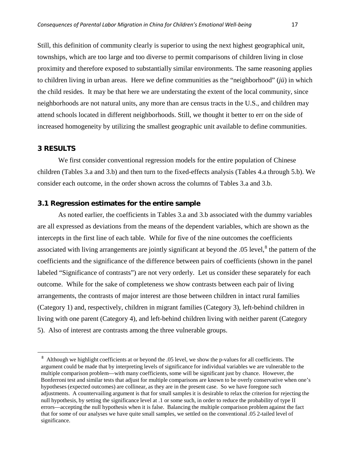Still, this definition of community clearly is superior to using the next highest geographical unit, townships, which are too large and too diverse to permit comparisons of children living in close proximity and therefore exposed to substantially similar environments. The same reasoning applies to children living in urban areas. Here we define communities as the "neighborhood" (*jü*) in which the child resides. It may be that here we are understating the extent of the local community, since neighborhoods are not natural units, any more than are census tracts in the U.S., and children may attend schools located in different neighborhoods. Still, we thought it better to err on the side of increased homogeneity by utilizing the smallest geographic unit available to define communities.

#### **3 RESULTS**

<span id="page-17-0"></span> $\overline{a}$ 

 We first consider conventional regression models for the entire population of Chinese children (Tables 3.a and 3.b) and then turn to the fixed-effects analysis (Tables 4.a through 5.b). We consider each outcome, in the order shown across the columns of Tables 3.a and 3.b.

#### **3.1 Regression estimates for the entire sample**

 As noted earlier, the coefficients in Tables 3.a and 3.b associated with the dummy variables are all expressed as deviations from the means of the dependent variables, which are shown as the intercepts in the first line of each table. While for five of the nine outcomes the coefficients associated with living arrangements are jointly significant at beyond the  $.05$  level,  $8$  the pattern of the coefficients and the significance of the difference between pairs of coefficients (shown in the panel labeled "Significance of contrasts") are not very orderly. Let us consider these separately for each outcome. While for the sake of completeness we show contrasts between each pair of living arrangements, the contrasts of major interest are those between children in intact rural families (Category 1) and, respectively, children in migrant families (Category 3), left-behind children in living with one parent (Category 4), and left-behind children living with neither parent (Category 5). Also of interest are contrasts among the three vulnerable groups.

<sup>&</sup>lt;sup>8</sup> Although we highlight coefficients at or beyond the .05 level, we show the p-values for all coefficients. The argument could be made that by interpreting levels of significance for individual variables we are vulnerable to the multiple comparison problem—with many coefficients, some will be significant just by chance. However, the Bonferroni test and similar tests that adjust for multiple comparisons are known to be overly conservative when one's hypotheses (expected outcomes) are collinear, as they are in the present case. So we have foregone such adjustments. A countervailing argument is that for small samples it is desirable to relax the criterion for rejecting the null hypothesis, by setting the significance level at .1 or some such, in order to reduce the probability of type II errors—accepting the null hypothesis when it is false. Balancing the multiple comparison problem against the fact that for some of our analyses we have quite small samples, we settled on the conventional .05 2-tailed level of significance.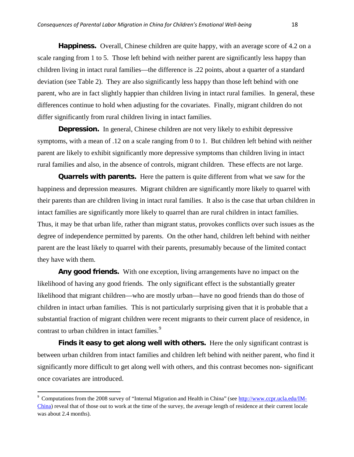**Happiness.** Overall, Chinese children are quite happy, with an average score of 4.2 on a scale ranging from 1 to 5. Those left behind with neither parent are significantly less happy than children living in intact rural families—the difference is .22 points, about a quarter of a standard deviation (see Table 2). They are also significantly less happy than those left behind with one parent, who are in fact slightly happier than children living in intact rural families. In general, these differences continue to hold when adjusting for the covariates. Finally, migrant children do not differ significantly from rural children living in intact families.

**Depression.** In general, Chinese children are not very likely to exhibit depressive symptoms, with a mean of .12 on a scale ranging from 0 to 1. But children left behind with neither parent are likely to exhibit significantly more depressive symptoms than children living in intact rural families and also, in the absence of controls, migrant children. These effects are not large.

**Quarrels with parents.** Here the pattern is quite different from what we saw for the happiness and depression measures. Migrant children are significantly more likely to quarrel with their parents than are children living in intact rural families. It also is the case that urban children in intact families are significantly more likely to quarrel than are rural children in intact families. Thus, it may be that urban life, rather than migrant status, provokes conflicts over such issues as the degree of independence permitted by parents. On the other hand, children left behind with neither parent are the least likely to quarrel with their parents, presumably because of the limited contact they have with them.

**Any good friends.** With one exception, living arrangements have no impact on the likelihood of having any good friends. The only significant effect is the substantially greater likelihood that migrant children—who are mostly urban—have no good friends than do those of children in intact urban families. This is not particularly surprising given that it is probable that a substantial fraction of migrant children were recent migrants to their current place of residence, in contrast to urban children in intact families.<sup>[9](#page-18-0)</sup>

**Finds it easy to get along well with others.** Here the only significant contrast is between urban children from intact families and children left behind with neither parent, who find it significantly more difficult to get along well with others, and this contrast becomes non- significant once covariates are introduced.

 $\overline{a}$ 

<span id="page-18-0"></span><sup>&</sup>lt;sup>9</sup> Computations from the 2008 survey of "Internal Migration and Health in China" (see [http://www.ccpr.ucla.edu/IM-](http://www.ccpr.ucla.edu/IM-China))[China\) r](http://www.ccpr.ucla.edu/IM-China))eveal that of those out to work at the time of the survey, the average length of residence at their current locale was about 2.4 months).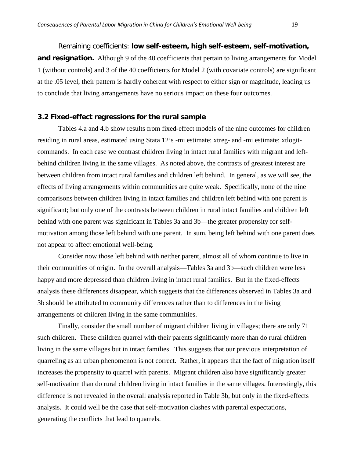Remaining coefficients: **low self-esteem, high self-esteem, self-motivation, and resignation.** Although 9 of the 40 coefficients that pertain to living arrangements for Model 1 (without controls) and 3 of the 40 coefficients for Model 2 (with covariate controls) are significant at the .05 level, their pattern is hardly coherent with respect to either sign or magnitude, leading us to conclude that living arrangements have no serious impact on these four outcomes.

#### **3.2 Fixed-effect regressions for the rural sample**

 Tables 4.a and 4.b show results from fixed-effect models of the nine outcomes for children residing in rural areas, estimated using Stata 12's -mi estimate: xtreg- and -mi estimate: xtlogitcommands. In each case we contrast children living in intact rural families with migrant and leftbehind children living in the same villages. As noted above, the contrasts of greatest interest are between children from intact rural families and children left behind. In general, as we will see, the effects of living arrangements within communities are quite weak. Specifically, none of the nine comparisons between children living in intact families and children left behind with one parent is significant; but only one of the contrasts between children in rural intact families and children left behind with one parent was significant in Tables 3a and 3b—the greater propensity for selfmotivation among those left behind with one parent. In sum, being left behind with one parent does not appear to affect emotional well-being.

 Consider now those left behind with neither parent, almost all of whom continue to live in their communities of origin. In the overall analysis—Tables 3a and 3b—such children were less happy and more depressed than children living in intact rural families. But in the fixed-effects analysis these differences disappear, which suggests that the differences observed in Tables 3a and 3b should be attributed to community differences rather than to differences in the living arrangements of children living in the same communities.

Finally, consider the small number of migrant children living in villages; there are only 71 such children. These children quarrel with their parents significantly more than do rural children living in the same villages but in intact families. This suggests that our previous interpretation of quarreling as an urban phenomenon is not correct. Rather, it appears that the fact of migration itself increases the propensity to quarrel with parents. Migrant children also have significantly greater self-motivation than do rural children living in intact families in the same villages. Interestingly, this difference is not revealed in the overall analysis reported in Table 3b, but only in the fixed-effects analysis. It could well be the case that self-motivation clashes with parental expectations, generating the conflicts that lead to quarrels.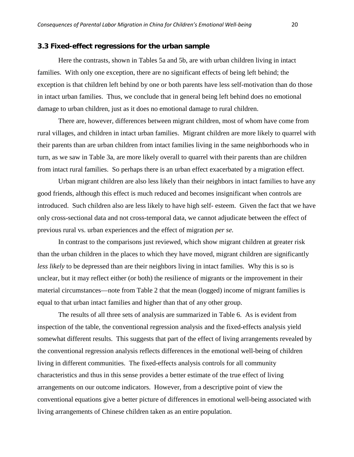#### **3.3 Fixed-effect regressions for the urban sample**

 Here the contrasts, shown in Tables 5a and 5b, are with urban children living in intact families. With only one exception, there are no significant effects of being left behind; the exception is that children left behind by one or both parents have less self-motivation than do those in intact urban families. Thus, we conclude that in general being left behind does no emotional damage to urban children, just as it does no emotional damage to rural children.

There are, however, differences between migrant children, most of whom have come from rural villages, and children in intact urban families. Migrant children are more likely to quarrel with their parents than are urban children from intact families living in the same neighborhoods who in turn, as we saw in Table 3a, are more likely overall to quarrel with their parents than are children from intact rural families. So perhaps there is an urban effect exacerbated by a migration effect.

 Urban migrant children are also less likely than their neighbors in intact families to have any good friends, although this effect is much reduced and becomes insignificant when controls are introduced. Such children also are less likely to have high self- esteem. Given the fact that we have only cross-sectional data and not cross-temporal data, we cannot adjudicate between the effect of previous rural vs. urban experiences and the effect of migration *per se.*

 In contrast to the comparisons just reviewed, which show migrant children at greater risk than the urban children in the places to which they have moved, migrant children are significantly *less likely* to be depressed than are their neighbors living in intact families. Why this is so is unclear, but it may reflect either (or both) the resilience of migrants or the improvement in their material circumstances—note from Table 2 that the mean (logged) income of migrant families is equal to that urban intact families and higher than that of any other group.

The results of all three sets of analysis are summarized in Table 6. As is evident from inspection of the table, the conventional regression analysis and the fixed-effects analysis yield somewhat different results. This suggests that part of the effect of living arrangements revealed by the conventional regression analysis reflects differences in the emotional well-being of children living in different communities. The fixed-effects analysis controls for all community characteristics and thus in this sense provides a better estimate of the true effect of living arrangements on our outcome indicators. However, from a descriptive point of view the conventional equations give a better picture of differences in emotional well-being associated with living arrangements of Chinese children taken as an entire population.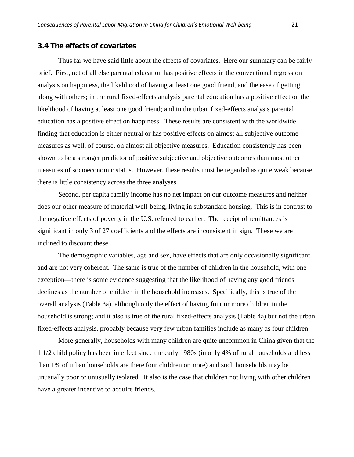#### **3.4 The effects of covariates**

Thus far we have said little about the effects of covariates. Here our summary can be fairly brief. First, net of all else parental education has positive effects in the conventional regression analysis on happiness, the likelihood of having at least one good friend, and the ease of getting along with others; in the rural fixed-effects analysis parental education has a positive effect on the likelihood of having at least one good friend; and in the urban fixed-effects analysis parental education has a positive effect on happiness. These results are consistent with the worldwide finding that education is either neutral or has positive effects on almost all subjective outcome measures as well, of course, on almost all objective measures. Education consistently has been shown to be a stronger predictor of positive subjective and objective outcomes than most other measures of socioeconomic status. However, these results must be regarded as quite weak because there is little consistency across the three analyses.

 Second, per capita family income has no net impact on our outcome measures and neither does our other measure of material well-being, living in substandard housing. This is in contrast to the negative effects of poverty in the U.S. referred to earlier. The receipt of remittances is significant in only 3 of 27 coefficients and the effects are inconsistent in sign. These we are inclined to discount these.

 The demographic variables, age and sex, have effects that are only occasionally significant and are not very coherent. The same is true of the number of children in the household, with one exception—there is some evidence suggesting that the likelihood of having any good friends declines as the number of children in the household increases. Specifically, this is true of the overall analysis (Table 3a), although only the effect of having four or more children in the household is strong; and it also is true of the rural fixed-effects analysis (Table 4a) but not the urban fixed-effects analysis, probably because very few urban families include as many as four children.

 More generally, households with many children are quite uncommon in China given that the 1 1/2 child policy has been in effect since the early 1980s (in only 4% of rural households and less than 1% of urban households are there four children or more) and such households may be unusually poor or unusually isolated. It also is the case that children not living with other children have a greater incentive to acquire friends.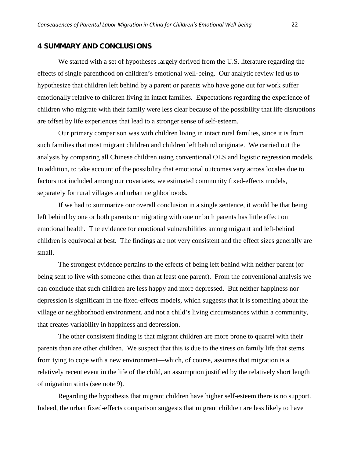#### **4 SUMMARY AND CONCLUSIONS**

 We started with a set of hypotheses largely derived from the U.S. literature regarding the effects of single parenthood on children's emotional well-being. Our analytic review led us to hypothesize that children left behind by a parent or parents who have gone out for work suffer emotionally relative to children living in intact families. Expectations regarding the experience of children who migrate with their family were less clear because of the possibility that life disruptions are offset by life experiences that lead to a stronger sense of self-esteem.

Our primary comparison was with children living in intact rural families, since it is from such families that most migrant children and children left behind originate. We carried out the analysis by comparing all Chinese children using conventional OLS and logistic regression models. In addition, to take account of the possibility that emotional outcomes vary across locales due to factors not included among our covariates, we estimated community fixed-effects models, separately for rural villages and urban neighborhoods.

If we had to summarize our overall conclusion in a single sentence, it would be that being left behind by one or both parents or migrating with one or both parents has little effect on emotional health. The evidence for emotional vulnerabilities among migrant and left-behind children is equivocal at best. The findings are not very consistent and the effect sizes generally are small.

 The strongest evidence pertains to the effects of being left behind with neither parent (or being sent to live with someone other than at least one parent). From the conventional analysis we can conclude that such children are less happy and more depressed. But neither happiness nor depression is significant in the fixed-effects models, which suggests that it is something about the village or neighborhood environment, and not a child's living circumstances within a community, that creates variability in happiness and depression.

 The other consistent finding is that migrant children are more prone to quarrel with their parents than are other children. We suspect that this is due to the stress on family life that stems from tying to cope with a new environment—which, of course, assumes that migration is a relatively recent event in the life of the child, an assumption justified by the relatively short length of migration stints (see note 9).

 Regarding the hypothesis that migrant children have higher self-esteem there is no support. Indeed, the urban fixed-effects comparison suggests that migrant children are less likely to have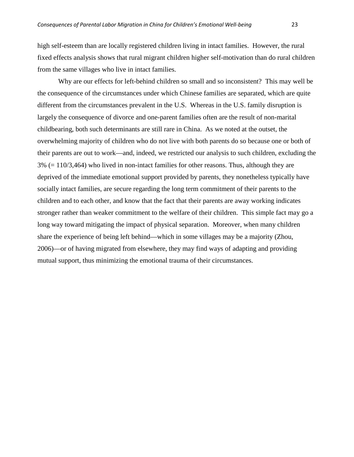high self-esteem than are locally registered children living in intact families. However, the rural fixed effects analysis shows that rural migrant children higher self-motivation than do rural children from the same villages who live in intact families.

 Why are our effects for left-behind children so small and so inconsistent? This may well be the consequence of the circumstances under which Chinese families are separated, which are quite different from the circumstances prevalent in the U.S. Whereas in the U.S. family disruption is largely the consequence of divorce and one-parent families often are the result of non-marital childbearing, both such determinants are still rare in China. As we noted at the outset, the overwhelming majority of children who do not live with both parents do so because one or both of their parents are out to work—and, indeed, we restricted our analysis to such children, excluding the  $3\%$  (= 110/3,464) who lived in non-intact families for other reasons. Thus, although they are deprived of the immediate emotional support provided by parents, they nonetheless typically have socially intact families, are secure regarding the long term commitment of their parents to the children and to each other, and know that the fact that their parents are away working indicates stronger rather than weaker commitment to the welfare of their children. This simple fact may go a long way toward mitigating the impact of physical separation. Moreover, when many children share the experience of being left behind—which in some villages may be a majority (Zhou, 2006)—or of having migrated from elsewhere, they may find ways of adapting and providing mutual support, thus minimizing the emotional trauma of their circumstances.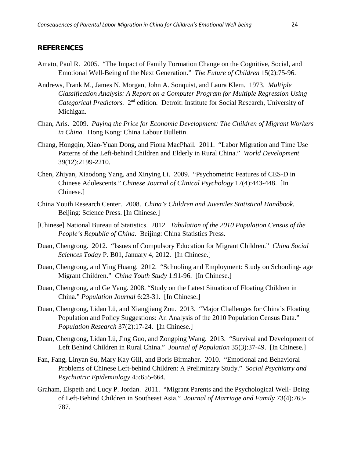#### **REFERENCES**

- Amato, Paul R. 2005. "The Impact of Family Formation Change on the Cognitive, Social, and Emotional Well-Being of the Next Generation." *The Future of Children* 15(2):75-96.
- Andrews, Frank M., James N. Morgan, John A. Sonquist, and Laura Klem. 1973. *Multiple Classification Analysis: A Report on a Computer Program for Multiple Regression Using Categorical Predictors.* 2nd edition*.* Detroit: Institute for Social Research, University of Michigan.
- Chan, Aris. 2009. *Paying the Price for Economic Development: The Children of Migrant Workers in China.* Hong Kong: China Labour Bulletin.
- Chang, Hongqin, Xiao-Yuan Dong, and Fiona MacPhail. 2011. "Labor Migration and Time Use Patterns of the Left-behind Children and Elderly in Rural China." *World Development* 39(12):2199-2210.
- Chen, Zhiyan, Xiaodong Yang, and Xinying Li. 2009. "Psychometric Features of CES-D in Chinese Adolescents." *Chinese Journal of Clinical Psychology* 17(4):443-448. [In Chinese.]
- China Youth Research Center. 2008. *China's Children and Juveniles Statistical Handbook.*  Beijing: Science Press. [In Chinese.]
- [Chinese] National Bureau of Statistics. 2012. *Tabulation of the 2010 Population Census of the People's Republic of China*. Beijing: China Statistics Press.
- Duan, Chengrong. 2012. "Issues of Compulsory Education for Migrant Children." *China Social Sciences Today* P. B01, January 4, 2012. [In Chinese.]
- Duan, Chengrong, and Ying Huang. 2012. "Schooling and Employment: Study on Schooling- age Migrant Children." *China Youth Study* 1:91-96. [In Chinese.]
- Duan, Chengrong, and Ge Yang. 2008. "Study on the Latest Situation of Floating Children in China." *Population Journal* 6:23-31. [In Chinese.]
- Duan, Chengrong, Lidan Lü, and Xiangjiang Zou. 2013. "Major Challenges for China's Floating Population and Policy Suggestions: An Analysis of the 2010 Population Census Data." *Population Research* 37(2):17-24. [In Chinese.]
- Duan, Chengrong, Lidan Lü, Jing Guo, and Zongping Wang. 2013. "Survival and Development of Left Behind Children in Rural China." *Journal of Population* 35(3):37-49. [In Chinese.]
- Fan, Fang, Linyan Su, Mary Kay Gill, and Boris Birmaher. 2010. "Emotional and Behavioral Problems of Chinese Left-behind Children: A Preliminary Study." *Social Psychiatry and Psychiatric Epidemiology* 45:655-664.
- Graham, Elspeth and Lucy P. Jordan. 2011. "Migrant Parents and the Psychological Well- Being of Left-Behind Children in Southeast Asia." *Journal of Marriage and Family* 73(4):763- 787.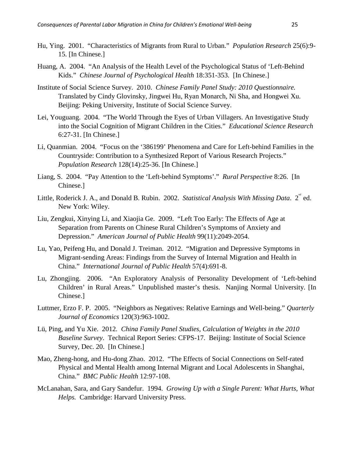- Hu, Ying. 2001. "Characteristics of Migrants from Rural to Urban." *Population Research* 25(6):9- 15. [In Chinese.]
- Huang, A. 2004. "An Analysis of the Health Level of the Psychological Status of 'Left-Behind Kids." *Chinese Journal of Psychological Health* 18:351-353. [In Chinese.]
- Institute of Social Science Survey. 2010. *Chinese Family Panel Study: 2010 Questionnaire.*  Translated by Cindy Glovinsky, Jingwei Hu, Ryan Monarch, Ni Sha, and Hongwei Xu. Beijing: Peking University, Institute of Social Science Survey.
- Lei, Youguang. 2004. "The World Through the Eyes of Urban Villagers. An Investigative Study into the Social Cognition of Migrant Children in the Cities." *Educational Science Research*  6:27-31. [In Chinese.]
- Li, Quanmian. 2004. "Focus on the '386199' Phenomena and Care for Left-behind Families in the Countryside: Contribution to a Synthesized Report of Various Research Projects." *Population Research* 128(14):25-36. [In Chinese.]
- Liang, S. 2004. "Pay Attention to the 'Left-behind Symptoms'." *Rural Perspective* 8:26. [In Chinese.]
- Little, Roderick J. A., and Donald B. Rubin. 2002. *Statistical Analysis With Missing Data*. 2<sup>nd</sup> ed. New York: Wiley.
- Liu, Zengkui, Xinying Li, and Xiaojia Ge. 2009. "Left Too Early: The Effects of Age at Separation from Parents on Chinese Rural Children's Symptoms of Anxiety and Depression." *American Journal of Public Health* 99(11):2049-2054.
- Lu, Yao, Peifeng Hu, and Donald J. Treiman. 2012. "Migration and Depressive Symptoms in Migrant-sending Areas: Findings from the Survey of Internal Migration and Health in China." *International Journal of Public Health* 57(4):691-8.
- Lu, Zhongjing. 2006. "An Exploratory Analysis of Personality Development of 'Left-behind Children' in Rural Areas." Unpublished master's thesis. Nanjing Normal University. [In Chinese.]
- Luttmer, Erzo F. P. 2005. "Neighbors as Negatives: Relative Earnings and Well-being." *Quarterly Journal of Economics* 120(3):963-1002.
- Lü, Ping, and Yu Xie. 2012*. China Family Panel Studies, Calculation of Weights in the 2010 Baseline Survey*. Technical Report Series: CFPS-17. Beijing: Institute of Social Science Survey, Dec. 20. [In Chinese.]
- Mao, Zheng-hong, and Hu-dong Zhao. 2012. "The Effects of Social Connections on Self-rated Physical and Mental Health among Internal Migrant and Local Adolescents in Shanghai, China." *BMC Public Health* 12:97-108.
- McLanahan, Sara, and Gary Sandefur. 1994. *Growing Up with a Single Parent: What Hurts, What Helps.* Cambridge: Harvard University Press.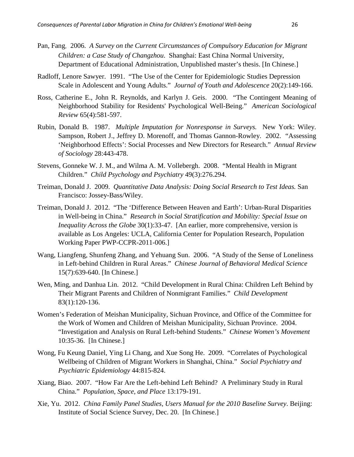- Pan, Fang. 2006. *A Survey on the Current Circumstances of Compulsory Education for Migrant Children: a Case Study of Changzhou*. Shanghai: East China Normal University, Department of Educational Administration, Unpublished master's thesis. [In Chinese.]
- Radloff, Lenore Sawyer. 1991. "The Use of the Center for Epidemiologic Studies Depression Scale in Adolescent and Young Adults." *Journal of Youth and Adolescence* 20(2):149-166.
- Ross, Catherine E., John R. Reynolds, and Karlyn J. Geis. 2000. "The Contingent Meaning of Neighborhood Stability for Residents' Psychological Well-Being." *American Sociological Review* 65(4):581-597.
- Rubin, Donald B. 1987. *Multiple Imputation for Nonresponse in Surveys.* New York: Wiley. Sampson, Robert J., Jeffrey D. Morenoff, and Thomas Gannon-Rowley. 2002. "Assessing 'Neighborhood Effects': Social Processes and New Directors for Research." *Annual Review of Sociology* 28:443-478.
- Stevens, Gonneke W. J. M., and Wilma A. M. Vollebergh. 2008. "Mental Health in Migrant Children." *Child Psychology and Psychiatry* 49(3):276.294.
- Treiman, Donald J. 2009. *Quantitative Data Analysis: Doing Social Research to Test Ideas.* San Francisco: Jossey-Bass/Wiley.
- Treiman, Donald J. 2012. "The 'Difference Between Heaven and Earth': Urban-Rural Disparities in Well-being in China." *Research in Social Stratification and Mobility: Special Issue on Inequality Across the Globe* 30(1):33-47. [An earlier, more comprehensive, version is available as Los Angeles: UCLA, California Center for Population Research, Population Working Paper PWP-CCPR-2011-006.]
- Wang, Liangfeng, Shunfeng Zhang, and Yehuang Sun. 2006. "A Study of the Sense of Loneliness in Left-behind Children in Rural Areas." *Chinese Journal of Behavioral Medical Science*  15(7):639-640. [In Chinese.]
- Wen, Ming, and Danhua Lin. 2012. "Child Development in Rural China: Children Left Behind by Their Migrant Parents and Children of Nonmigrant Families." *Child Development*  83(1):120-136.
- Women's Federation of Meishan Municipality, Sichuan Province, and Office of the Committee for the Work of Women and Children of Meishan Municipality, Sichuan Province. 2004. "Investigation and Analysis on Rural Left-behind Students." *Chinese Women's Movement*  10:35-36. [In Chinese.]
- Wong, Fu Keung Daniel, Ying Li Chang, and Xue Song He. 2009. "Correlates of Psychological Wellbeing of Children of Migrant Workers in Shanghai, China." *Social Psychiatry and Psychiatric Epidemiology* 44:815-824.
- Xiang, Biao. 2007. "How Far Are the Left-behind Left Behind? A Preliminary Study in Rural China." *Population, Space, and Place* 13:179-191.
- Xie, Yu. 2012. *China Family Panel Studies, Users Manual for the 2010 Baseline Survey*. Beijing: Institute of Social Science Survey, Dec. 20. [In Chinese.]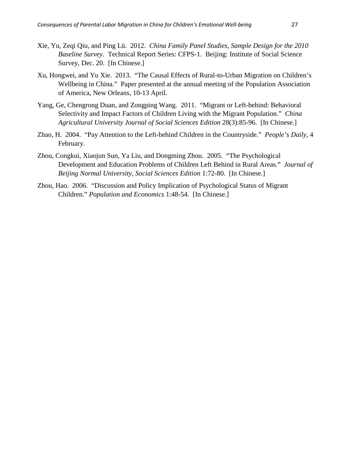- Xie, Yu, Zeqi Qiu, and Ping Lü. 2012. *China Family Panel Studies, Sample Design for the 2010 Baseline Survey*. Technical Report Series: CFPS-1. Beijing: Institute of Social Science Survey, Dec. 20. [In Chinese.]
- Xu, Hongwei, and Yu Xie. 2013. "The Causal Effects of Rural-to-Urban Migration on Children's Wellbeing in China." Paper presented at the annual meeting of the Population Association of America, New Orleans, 10-13 April.
- Yang, Ge, Chengrong Duan, and Zongping Wang. 2011. "Migrant or Left-behind: Behavioral Selectivity and Impact Factors of Children Living with the Migrant Population." *China Agricultural University Journal of Social Sciences Edition* 28(3):85-96. [In Chinese.]
- Zhao, H. 2004. "Pay Attention to the Left-behind Children in the Countryside." *People's Daily*, 4 February.
- Zhou, Congkui, Xiaojun Sun, Ya Liu, and Dongming Zhou. 2005. "The Psychological Development and Education Problems of Children Left Behind in Rural Areas." *Journal of Beijing Normal University, Social Sciences Edition* 1:72-80. [In Chinese.]
- Zhou, Hao. 2006. "Discussion and Policy Implication of Psychological Status of Migrant Children." *Population and Economics* 1:48-54. [In Chinese.]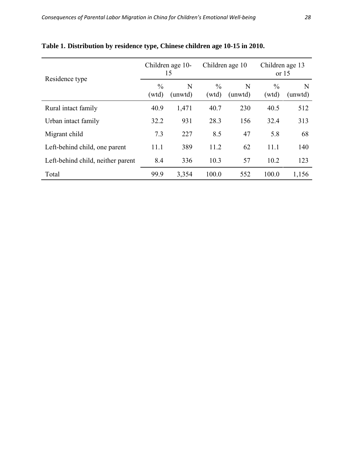| Residence type                    |                        | Children age 10-<br>15 |                        | Children age 10 | Children age 13<br>or $15$ |              |
|-----------------------------------|------------------------|------------------------|------------------------|-----------------|----------------------------|--------------|
|                                   | $\frac{0}{0}$<br>(wtd) | N<br>(unwtd)           | $\frac{0}{0}$<br>(wtd) | N<br>(unwtd)    | $\frac{0}{0}$<br>(wtd)     | N<br>(unwtd) |
| Rural intact family               | 40.9                   | 1,471                  | 40.7                   | 230             | 40.5                       | 512          |
| Urban intact family               | 32.2                   | 931                    | 28.3                   | 156             | 32.4                       | 313          |
| Migrant child                     | 7.3                    | 227                    | 8.5                    | 47              | 5.8                        | 68           |
| Left-behind child, one parent     | 11.1                   | 389                    | 11.2                   | 62              | 11.1                       | 140          |
| Left-behind child, neither parent | 8.4                    | 336                    | 10.3                   | 57              | 10.2                       | 123          |
| Total                             | 99.9                   | 3,354                  | 100.0                  | 552             | 100.0                      | 1,156        |

# **Table 1. Distribution by residence type, Chinese children age 10-15 in 2010.**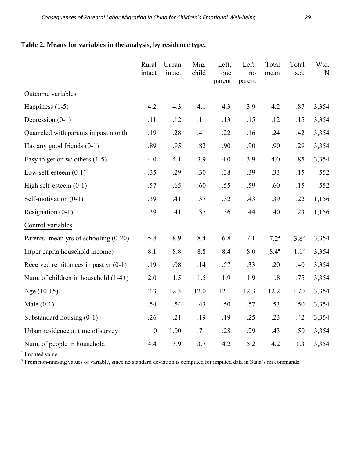|                                        | Rural<br>intact  | Urban<br>intact | Mig.<br>child | Left,<br>one<br>parent | Left,<br>no<br>parent | Total<br>mean      | Total<br>s.d.    | Wtd.<br>N |
|----------------------------------------|------------------|-----------------|---------------|------------------------|-----------------------|--------------------|------------------|-----------|
| Outcome variables                      |                  |                 |               |                        |                       |                    |                  |           |
| Happiness (1-5)                        | 4.2              | 4.3             | 4.1           | 4.3                    | 3.9                   | 4.2                | .87              | 3,354     |
| Depression (0-1)                       | .11              | .12             | .11           | .13                    | .15                   | .12                | .15              | 3,354     |
| Quarreled with parents in past month   | .19              | .28             | .41           | .22                    | .16                   | .24                | .42              | 3,354     |
| Has any good friends $(0-1)$           | .89              | .95             | .82           | .90                    | .90                   | .90                | .29              | 3,354     |
| Easy to get on $w/$ others (1-5)       | 4.0              | 4.1             | 3.9           | 4.0                    | 3.9                   | 4.0                | .85              | 3,354     |
| Low self-esteem $(0-1)$                | .35              | .29             | .30           | .38                    | .39                   | .33                | .15              | 552       |
| High self-esteem $(0-1)$               | .57              | .65             | .60           | .55                    | .59                   | .60                | .15              | 552       |
| Self-motivation (0-1)                  | .39              | .41             | .37           | .32                    | .43                   | .39                | .22              | 1,156     |
| Resignation (0-1)                      | .39              | .41             | .37           | .36                    | .44                   | .40                | .23              | 1,156     |
| Control variables                      |                  |                 |               |                        |                       |                    |                  |           |
| Parents' mean yrs of schooling (0-20)  | 5.8              | 8.9             | 8.4           | 6.8                    | 7.1                   | $7.2^{\rm a}$      | 3.8 <sup>b</sup> | 3,354     |
| In(per capita household income)        | 8.1              | 8.8             | 8.8           | 8.4                    | 8.0                   | $8.4^{\mathrm{a}}$ | 1.1 <sup>b</sup> | 3,354     |
| Received remittances in past $yr(0-1)$ | .19              | .08             | .14           | .57                    | .33                   | .20                | .40              | 3,354     |
| Num. of children in household $(1-4+)$ | 2.0              | 1.5             | 1.5           | 1.9                    | 1.9                   | 1.8                | .75              | 3,354     |
| Age (10-15)                            | 12.3             | 12.3            | 12.0          | 12.1                   | 12.3                  | 12.2               | 1.70             | 3,354     |
| Male $(0-1)$                           | .54              | .54             | .43           | .50                    | .57                   | .53                | .50              | 3,354     |
| Substandard housing $(0-1)$            | .26              | .21             | .19           | .19                    | .25                   | .23                | .42              | 3,354     |
| Urban residence at time of survey      | $\boldsymbol{0}$ | 1.00            | .71           | .28                    | .29                   | .43                | .50              | 3,354     |
| Num. of people in household            | 4.4              | 3.9             | 3.7           | 4.2                    | 5.2                   | 4.2                | 1.3              | 3,354     |

## **Table 2. Means for variables in the analysis, by residence type.**

<sup>a</sup> Imputed value.

<sup>b</sup> From non-missing values of variable, since no standard deviation is computed for imputed data in Stata's mi commands.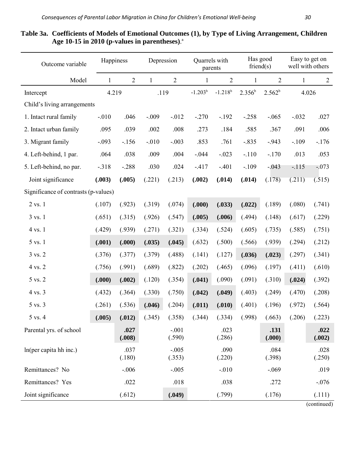| Outcome variable                     | Happiness<br>Depression |                |              | Quarrels with<br>parents |                              | Has good<br>friend $(s)$ |             | well with others | Easy to get on |                |
|--------------------------------------|-------------------------|----------------|--------------|--------------------------|------------------------------|--------------------------|-------------|------------------|----------------|----------------|
| Model                                | 1                       | $\overline{2}$ | $\mathbf{1}$ | $\overline{2}$           | 1                            | $\overline{2}$           | 1           | $\overline{2}$   | 1              | $\overline{2}$ |
| Intercept                            | 4.219                   |                | .119         |                          | $-1.203^{b}$<br>$-1.218^{b}$ |                          | $2.356^{b}$ | $2.562^{b}$      | 4.026          |                |
| Child's living arrangements          |                         |                |              |                          |                              |                          |             |                  |                |                |
| 1. Intact rural family               | $-.010$                 | .046           | $-.009$      | $-0.012$                 | $-.270$                      | $-.192$                  | $-.258$     | $-.065$          | $-.032$        | .027           |
| 2. Intact urban family               | .095                    | .039           | .002         | .008                     | .273                         | .184                     | .585        | .367             | .091           | .006           |
| 3. Migrant family                    | $-.093$                 | $-156$         | $-.010$      | $-.003$                  | .853                         | .761                     | $-.835$     | $-.943$          | $-.109$        | $-.176$        |
| 4. Left-behind, 1 par.               | .064                    | .038           | .009         | .004                     | $-0.044$                     | $-.023$                  | $-.110$     | $-.170$          | .013           | .053           |
| 5. Left-behind, no par.              | $-.318$                 | $-.288$        | .030         | .024                     | $-417$                       | $-.401$                  | $-.109$     | $-.043$          | $-.115$        | $-.073$        |
| Joint significance                   | (.003)                  | (.005)         | (.221)       | (.213)                   | (.002)                       | (.014)                   | (.014)      | (.178)           | (.211)         | (.515)         |
| Significance of contrasts (p-values) |                         |                |              |                          |                              |                          |             |                  |                |                |
| 2 vs. 1                              | (.107)                  | (.923)         | (.319)       | (.074)                   | (.000)                       | (.033)                   | (.022)      | (.189)           | (.080)         | (.741)         |
| 3 vs. 1                              | (.651)                  | (.315)         | (.926)       | (.547)                   | (.005)                       | (.006)                   | (.494)      | (.148)           | (.617)         | (.229)         |
| 4 vs. 1                              | (.429)                  | (.939)         | (.271)       | (.321)                   | (.334)                       | (.524)                   | (.605)      | (.735)           | (.585)         | (.751)         |
| 5 vs. 1                              | (.001)                  | (.000)         | (.035)       | (.045)                   | (.632)                       | (.500)                   | (.566)      | (.939)           | (.294)         | (.212)         |
| 3 vs. 2                              | (.376)                  | (.377)         | (.379)       | (.488)                   | (.141)                       | (.127)                   | (.036)      | (.023)           | (.297)         | (.341)         |
| 4 vs. 2                              | (.756)                  | (.991)         | (.689)       | (.822)                   | (.202)                       | (.465)                   | (.096)      | (.197)           | (.411)         | (.610)         |
| 5 vs. 2                              | (.000)                  | (.002)         | (.120)       | (.354)                   | (.041)                       | (.090)                   | (.091)      | (.310)           | (.024)         | (.392)         |
| 4 vs. 3                              | (.432)                  | (.364)         | (.330)       | (.750)                   | (.042)                       | (.049)                   | (.403)      | (.249)           | (.470)         | (.208)         |
| 5 vs. 3                              | (.261)                  | (.536)         | (.046)       | (.204)                   | (.011)                       | (.010)                   | (.401)      | (.196)           | (.972)         | (.564)         |
| 5 vs. 4                              | (.005)                  | (.012)         | (.345)       | (.358)                   | (.344)                       | (.334)                   | (.998)      | (.663)           | (.206)         | (.223)         |
| Parental yrs. of school              |                         | .027<br>(.008) |              | $-.001$<br>(.590)        |                              | .023<br>(.286)           |             | .131<br>(.000)   |                | .022<br>(.002) |
| ln(per capita hh inc.)               |                         | .037<br>(.180) |              | $-.005$<br>(.353)        |                              | .090<br>(.220)           |             | .084<br>(.398)   |                | .028<br>(.250) |
| Remittances? No                      |                         | $-.006$        |              | $-.005$                  |                              | $-.010$                  |             | $-.069$          |                | .019           |
| Remittances? Yes                     |                         | .022           |              | .018                     |                              | .038                     |             | .272             |                | $-.076$        |
| Joint significance                   |                         | (.612)         |              | (.049)                   |                              | (.799)                   |             | (.176)           |                | (.111)         |
|                                      |                         |                |              |                          |                              |                          |             |                  |                | (continued)    |

## **Table 3a. Coefficients of Models of Emotional Outcomes (1), by Type of Living Arrangement, Children Age 10-15 in 2010 (p-values in parentheses)**. a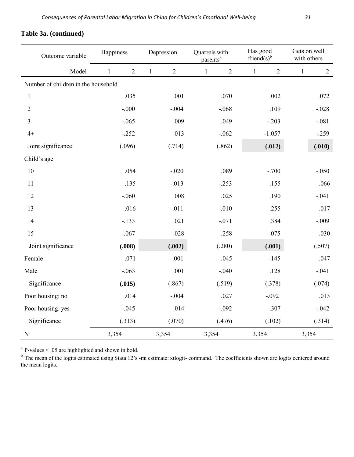## **Table 3a. (continued)**

| Outcome variable                    | Happiness                      | Depression                     | Quarrels with<br>parents <sup>b</sup> | Has good<br>friend $(s)^b$     | Gets on well<br>with others |
|-------------------------------------|--------------------------------|--------------------------------|---------------------------------------|--------------------------------|-----------------------------|
| Model                               | $\overline{2}$<br>$\mathbf{1}$ | $\overline{2}$<br>$\mathbf{1}$ | $\overline{2}$<br>$\mathbf{1}$        | $\overline{2}$<br>$\mathbf{1}$ | $\mathbf{1}$<br>$\sqrt{2}$  |
| Number of children in the household |                                |                                |                                       |                                |                             |
| $\mathbf{1}$                        | .035                           | .001                           | .070                                  | .002                           | .072                        |
| $\overline{2}$                      | $-.000$                        | $-.004$                        | $-.068$                               | .109                           | $-.028$                     |
| $\overline{3}$                      | $-.065$                        | .009                           | .049                                  | $-.203$                        | $-.081$                     |
| $4+$                                | $-.252$                        | .013                           | $-.062$                               | $-1.057$                       | $-.259$                     |
| Joint significance                  | (.096)                         | (.714)                         | (.862)                                | (.012)                         | (.010)                      |
| Child's age                         |                                |                                |                                       |                                |                             |
| 10                                  | .054                           | $-.020$                        | .089                                  | $-.700$                        | $-.050$                     |
| 11                                  | .135                           | $-.013$                        | $-.253$                               | .155                           | .066                        |
| 12                                  | $-.060$                        | .008                           | .025                                  | .190                           | $-.041$                     |
| 13                                  | .016                           | $-.011$                        | $-.010$                               | .255                           | .017                        |
| 14                                  | $-.133$                        | .021                           | $-.071$                               | .384                           | $-.009$                     |
| 15                                  | $-.067$                        | .028                           | .258                                  | $-.075$                        | .030                        |
| Joint significance                  | (.008)                         | (.002)                         | (.280)                                | (.001)                         | (.507)                      |
| Female                              | .071                           | $-.001$                        | .045                                  | $-.145$                        | .047                        |
| Male                                | $-.063$                        | .001                           | $-.040$                               | .128                           | $-.041$                     |
| Significance                        | (.015)                         | (.867)                         | (.519)                                | (.378)                         | (.074)                      |
| Poor housing: no                    | .014                           | $-.004$                        | .027                                  | $-.092$                        | .013                        |
| Poor housing: yes                   | $-.045$                        | .014                           | $-.092$                               | .307                           | $-.042$                     |
| Significance                        | (.313)                         | (.070)                         | (.476)                                | (.102)                         | (.314)                      |
| N                                   | 3,354                          | 3,354                          | 3,354                                 | 3,354                          | 3,354                       |

 $a<sup>a</sup>$  P-values < .05 are highlighted and shown in bold.

<sup>b</sup> The mean of the logits estimated using Stata 12's -mi estimate: xtlogit- command. The coefficients shown are logits centered around the mean logits.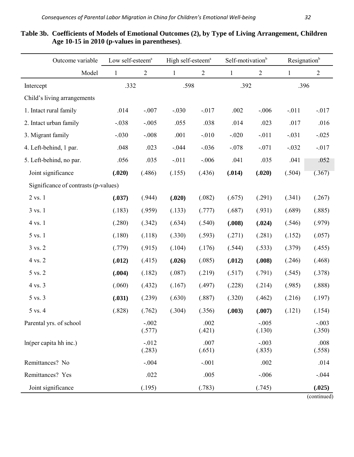**Table 3b. Coefficients of Models of Emotional Outcomes (2), by Type of Living Arrangement, Children Age 10-15 in 2010 (p-values in parentheses)**.

| Outcome variable                     | Low self-esteem <sup>a</sup> |                    |              | High self-esteem <sup>a</sup> |              | Self-motivation <sup>b</sup> | Resignation <sup>b</sup> |                   |
|--------------------------------------|------------------------------|--------------------|--------------|-------------------------------|--------------|------------------------------|--------------------------|-------------------|
| Model                                | $\mathbf{1}$                 | $\overline{2}$     | $\mathbf{1}$ | $\overline{2}$                | $\mathbf{1}$ | $\overline{2}$               | $\mathbf{1}$             | $\overline{2}$    |
| Intercept                            | .332                         |                    |              | .598                          |              | .392                         | .396                     |                   |
| Child's living arrangements          |                              |                    |              |                               |              |                              |                          |                   |
| 1. Intact rural family               | .014                         | $-.007$            | $-.030$      | $-017$                        | .002         | $-.006$                      | $-.011$                  | $-0.017$          |
| 2. Intact urban family               | $-.038$                      | $-.005$            | .055         | .038                          | .014         | .023                         | .017                     | .016              |
| 3. Migrant family                    | $-.030$                      | $-0.008$           | .001         | $-010$                        | $-.020$      | $-.011$                      | $-.031$                  | $-.025$           |
| 4. Left-behind, 1 par.               | .048                         | .023               | $-.044$      | $-0.036$                      | $-.078$      | $-.071$                      | $-.032$                  | $-0.017$          |
| 5. Left-behind, no par.              | .056                         | .035               | $-.011$      | $-0.006$                      | .041         | .035                         | .041                     | .052              |
| Joint significance                   | (.020)                       | (.486)             | (.155)       | (.436)                        | (.014)       | (.020)                       | (.504)                   | (.367)            |
| Significance of contrasts (p-values) |                              |                    |              |                               |              |                              |                          |                   |
| 2 vs. 1                              | (.037)                       | (.944)             | (.020)       | (.082)                        | (.675)       | (.291)                       | (.341)                   | (.267)            |
| 3 vs. 1                              | (.183)                       | (.959)             | (.133)       | (.777)                        | (.687)       | (.931)                       | (.689)                   | (.885)            |
| 4 vs. 1                              | (.280)                       | (.342)             | (.634)       | (.540)                        | (.008)       | (.024)                       | (.546)                   | (.979)            |
| 5 vs. 1                              | (.180)                       | (.118)             | (.330)       | (.593)                        | (.271)       | (.281)                       | (.152)                   | (.057)            |
| 3 vs. 2                              | (.779)                       | (.915)             | (.104)       | (.176)                        | (.544)       | (.533)                       | (.379)                   | (.455)            |
| 4 vs. 2                              | (.012)                       | (.415)             | (.026)       | (.085)                        | (.012)       | (.008)                       | (.246)                   | (.468)            |
| 5 vs. 2                              | (.004)                       | (.182)             | (.087)       | (.219)                        | (.517)       | (.791)                       | (.545)                   | (.378)            |
| 4 vs. 3                              | (.060)                       | (.432)             | (.167)       | (.497)                        | (.228)       | (.214)                       | (.985)                   | (.888)            |
| 5 vs. 3                              | (.031)                       | (.239)             | (.630)       | (.887)                        | (.320)       | (.462)                       | (.216)                   | (.197)            |
| 5 vs. 4                              | (.828)                       | (.762)             | (.304)       | (.356)                        | (.003)       | (.007)                       | (.121)                   | (.154)            |
| Parental yrs. of school              |                              | $-.002$<br>(.577)  |              | .002<br>(.421)                |              | $-.005$<br>(.130)            |                          | $-.003$<br>(.350) |
| ln(per capita hh inc.)               |                              | $-0.012$<br>(.283) |              | .007<br>(.651)                |              | $-.003$<br>(.835)            |                          | .008<br>(.558)    |
| Remittances? No                      |                              | $-.004$            |              | $-.001$                       |              | .002                         |                          | .014              |
| Remittances? Yes                     |                              | .022               |              | .005                          |              | $-.006$                      |                          | $-.044$           |
| Joint significance                   |                              | (.195)             |              | (.783)                        |              | (.745)                       |                          | (.025)            |
|                                      |                              |                    |              |                               |              |                              |                          | (continued)       |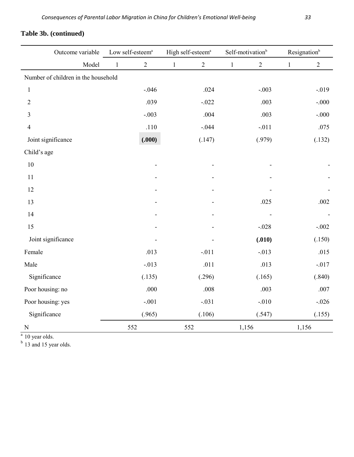# **Table 3b. (continued)**

| Outcome variable                    | Low self-esteem <sup>a</sup> | High self-esteem <sup>a</sup> | Self-motivation <sup>b</sup>  | Resignation <sup>b</sup>       |  |
|-------------------------------------|------------------------------|-------------------------------|-------------------------------|--------------------------------|--|
| Model                               | $\mathbf 1$<br>$\sqrt{2}$    | $\,1\,$<br>$\overline{2}$     | $\mathbf 1$<br>$\overline{2}$ | $\overline{2}$<br>$\mathbf{1}$ |  |
| Number of children in the household |                              |                               |                               |                                |  |
| $\mathbf{1}$                        | $-.046$                      | .024                          | $-.003$                       | $-0.019$                       |  |
| $\overline{2}$                      | .039                         | $-.022$                       | .003                          | $-.000$                        |  |
| $\mathfrak{Z}$                      | $-.003$                      | $.004$                        | .003                          | $-.000$                        |  |
| $\overline{4}$                      | .110                         | $-.044$                       | $-.011$                       | .075                           |  |
| Joint significance                  | (.000)                       | (.147)                        | (.979)                        | (.132)                         |  |
| Child's age                         |                              |                               |                               |                                |  |
| $10\,$                              |                              |                               |                               |                                |  |
| 11                                  |                              |                               |                               |                                |  |
| 12                                  |                              |                               |                               |                                |  |
| 13                                  |                              |                               | .025                          | $.002\,$                       |  |
| 14                                  |                              |                               |                               |                                |  |
| 15                                  |                              |                               | $-.028$                       | $-.002$                        |  |
| Joint significance                  |                              |                               | (.010)                        | (.150)                         |  |
| Female                              | .013                         | $-.011$                       | $-013$                        | .015                           |  |
| Male                                | $-.013$                      | .011                          | .013                          | $-017$                         |  |
| Significance                        | (.135)                       | (.296)                        | (.165)                        | (.840)                         |  |
| Poor housing: no                    | $.000$                       | $.008$                        | .003                          | $.007$                         |  |
| Poor housing: yes                   | $-.001$                      | $-.031$                       | $-.010$                       | $-.026$                        |  |
| Significance                        | (.965)                       | (.106)                        | (.547)                        | (.155)                         |  |
| N                                   | 552                          | 552                           | 1,156                         | 1,156                          |  |

 $a$  10 year olds.

<sup>b</sup> 13 and 15 year olds.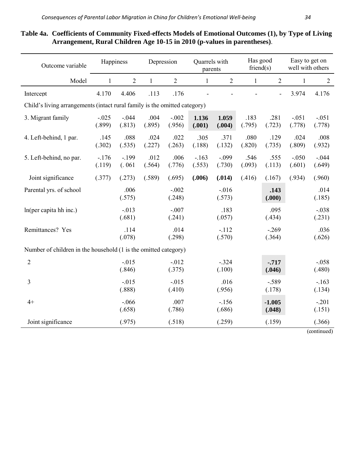## **Table 4a. Coefficients of Community Fixed-effects Models of Emotional Outcomes (1), by Type of Living Arrangement, Rural Children Age 10-15 in 2010 (p-values in parentheses)**.

| Outcome variable                                                          | Happiness         |                    |                | Depression         |                  | Quarrels with<br>parents | Has good<br>friend(s) |                    | Easy to get on<br>well with others |                       |
|---------------------------------------------------------------------------|-------------------|--------------------|----------------|--------------------|------------------|--------------------------|-----------------------|--------------------|------------------------------------|-----------------------|
| Model                                                                     | $\mathbf{1}$      | $\overline{2}$     | $\mathbf{1}$   | $\overline{2}$     | $\mathbf{1}$     | $\overline{c}$           | $\mathbf{1}$          | $\overline{2}$     | $\mathbf{1}$                       | 2                     |
| Intercept                                                                 | 4.170             | 4.406              | .113           | .176               |                  |                          |                       |                    | 3.974                              | 4.176                 |
| Child's living arrangements (intact rural family is the omitted category) |                   |                    |                |                    |                  |                          |                       |                    |                                    |                       |
| 3. Migrant family                                                         | $-.025$<br>(.899) | $-.044$<br>(.813)  | .004<br>(.895) | $-.002$<br>(.956)  | 1.136<br>(.001)  | 1.059<br>(.004)          | .183<br>(.795)        | .281<br>(.723)     | $-.051$<br>(.778)                  | $-.051$<br>(.778)     |
| 4. Left-behind, 1 par.                                                    | .145<br>(.302)    | .088<br>(.535)     | .024<br>(.227) | .022<br>(.263)     | .305<br>(.188)   | .371<br>(.132)           | .080<br>(.820)        | .129<br>(.735)     | .024<br>(.809)                     | .008<br>(.932)        |
| 5. Left-behind, no par.                                                   | $-.176$<br>(.119) | $-.199$<br>(.061)  | .012<br>(.564) | .006<br>(.776)     | $-163$<br>(.553) | $-.099$<br>(.730)        | .546<br>(.093)        | .555<br>(.113)     | $-.050$<br>(.601)                  | $-.044$<br>(.649)     |
| Joint significance                                                        | (.377)            | (.273)             | (.589)         | (.695)             | (.006)           | (.014)                   | (.416)                | (.167)             | (.934)                             | (.960)                |
| Parental yrs. of school                                                   |                   | .006<br>(.575)     |                | $-.002$<br>(.248)  |                  | $-0.016$<br>(.573)       |                       | .143<br>(.000)     |                                    | .014<br>(.185)        |
| ln(per capita hh inc.)                                                    |                   | $-0.013$<br>(.681) |                | $-.007$<br>(.241)  |                  | .183<br>(.057)           |                       | .095<br>(.434)     |                                    | $-.038$<br>(.231)     |
| Remittances? Yes                                                          |                   | .114<br>(.078)     |                | .014<br>(.298)     |                  | $-112$<br>(.570)         |                       | $-.269$<br>(.364)  |                                    | .036<br>(.626)        |
| Number of children in the household (1 is the omitted category)           |                   |                    |                |                    |                  |                          |                       |                    |                                    |                       |
| $\overline{2}$                                                            |                   | $-0.015$<br>(.846) |                | $-0.012$<br>(.375) |                  | $-.324$<br>(.100)        |                       | $-0.717$<br>(.046) |                                    | $-.058$<br>(.480)     |
| $\overline{\mathbf{3}}$                                                   |                   | $-0.015$<br>(.888) |                | $-.015$<br>(.410)  |                  | .016<br>(.956)           |                       | $-.589$<br>(.178)  |                                    | $-163$<br>(.134)      |
| $4+$                                                                      |                   | $-.066$<br>(.658)  |                | .007<br>(.786)     |                  | $-156$<br>(.686)         |                       | $-1.005$<br>(.048) |                                    | $-.201$<br>(.151)     |
| Joint significance                                                        |                   | (.975)             |                | (.518)             |                  | (.259)                   |                       | (.159)             |                                    | (.366)<br>(continued) |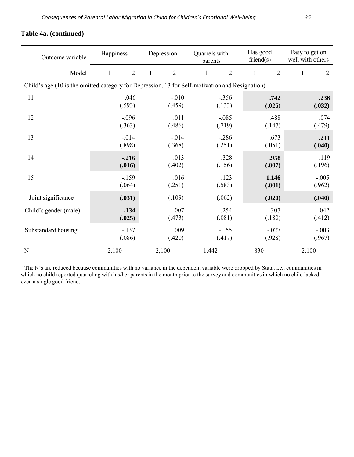| Outcome variable      | Happiness                                                                                       | Depression     | Quarrels with<br>parents | Has good<br>friend $(s)$ | Easy to get on<br>well with others |  |  |  |  |
|-----------------------|-------------------------------------------------------------------------------------------------|----------------|--------------------------|--------------------------|------------------------------------|--|--|--|--|
| Model                 | $\overline{2}$                                                                                  | $\overline{2}$ | $\overline{2}$           | $\overline{2}$           | 1                                  |  |  |  |  |
|                       | 1                                                                                               | 1              | 1                        | 1                        | 2                                  |  |  |  |  |
|                       | Child's age (10 is the omitted category for Depression, 13 for Self-motivation and Resignation) |                |                          |                          |                                    |  |  |  |  |
| 11                    | .046                                                                                            | $-.010$        | $-.356$                  | .742                     | .236                               |  |  |  |  |
|                       | (.593)                                                                                          | (.459)         | (.133)                   | (.025)                   | (.032)                             |  |  |  |  |
| 12                    | $-.096$                                                                                         | .011           | $-.085$                  | .488                     | .074                               |  |  |  |  |
|                       | (.363)                                                                                          | (.486)         | (.719)                   | (.147)                   | (.479)                             |  |  |  |  |
| 13                    | $-.014$                                                                                         | $-.014$        | $-286$                   | .673                     | .211                               |  |  |  |  |
|                       | (.898)                                                                                          | (.368)         | (.251)                   | (.051)                   | (.040)                             |  |  |  |  |
| 14                    | $-.216$                                                                                         | .013           | .328                     | .958                     | .119                               |  |  |  |  |
|                       | (.016)                                                                                          | (.402)         | (.156)                   | (.007)                   | (.196)                             |  |  |  |  |
| 15                    | $-159$                                                                                          | .016           | .123                     | 1.146                    | $-.005$                            |  |  |  |  |
|                       | (.064)                                                                                          | (.251)         | (.583)                   | (.001)                   | (.962)                             |  |  |  |  |
| Joint significance    | (.031)                                                                                          | (.109)         | (.062)                   | (.020)                   | (.040)                             |  |  |  |  |
| Child's gender (male) | $-.134$                                                                                         | .007           | $-.254$                  | $-.307$                  | $-.042$                            |  |  |  |  |
|                       | (.025)                                                                                          | (.473)         | (.081)                   | (.180)                   | (.412)                             |  |  |  |  |
| Substandard housing   | $-.137$                                                                                         | .009           | $-155$                   | $-.027$                  | $-.003$                            |  |  |  |  |
|                       | (.086)                                                                                          | (.420)         | (.417)                   | (.928)                   | (.967)                             |  |  |  |  |
| N                     | 2,100                                                                                           | 2,100          | $1,442^{\circ}$          | 830 <sup>a</sup>         | 2,100                              |  |  |  |  |

## **Table 4a. (continued)**

<sup>a</sup> The N's are reduced because communities with no variance in the dependent variable were dropped by Stata, i.e., communities in which no child reported quarreling with his/her parents in the month prior to the survey and communities in which no child lacked even a single good friend.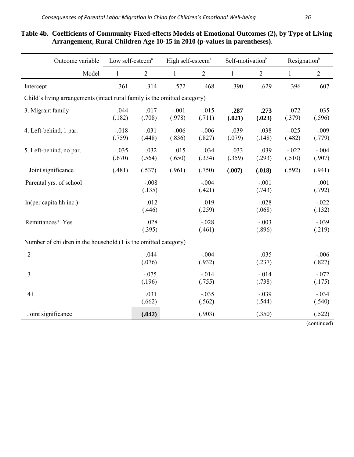## **Table 4b. Coefficients of Community Fixed-effects Models of Emotional Outcomes (2), by Type of Living Arrangement, Rural Children Age 10-15 in 2010 (p-values in parentheses)**.

| Outcome variable                                                          | Low self-esteem <sup>a</sup> |                   | High self-esteem <sup>a</sup> |                    | Self-motivation <sup>b</sup> |                    | Resignation <sup>b</sup> |                   |
|---------------------------------------------------------------------------|------------------------------|-------------------|-------------------------------|--------------------|------------------------------|--------------------|--------------------------|-------------------|
| Model                                                                     | $\mathbf{1}$                 | $\overline{2}$    | $\mathbf{1}$                  | $\mathbf{2}$       | $\mathbf{1}$                 | $\overline{2}$     | $\mathbf{1}$             | $\overline{2}$    |
| Intercept                                                                 | .361                         | .314              | .572                          | .468               | .390                         | .629               | .396                     | .607              |
| Child's living arrangements (intact rural family is the omitted category) |                              |                   |                               |                    |                              |                    |                          |                   |
| 3. Migrant family                                                         | .044<br>(.182)               | .017<br>(.708)    | $-.001$<br>(.978)             | .015<br>(.711)     | .287<br>(.021)               | .273<br>(.023)     | .072<br>(.379)           | .035<br>(.596)    |
| 4. Left-behind, 1 par.                                                    | $-.018$<br>(.759)            | $-.031$<br>(.448) | $-.006$<br>(.836)             | $-.006$<br>(.827)  | $-.039$<br>(.079)            | $-.038$<br>(.148)  | $-.025$<br>(.482)        | $-.009$<br>(.779) |
| 5. Left-behind, no par.                                                   | .035<br>(.670)               | .032<br>(.564)    | .015<br>(.650)                | .034<br>(.334)     | .033<br>(.359)               | .039<br>(.293)     | $-.022$<br>(.510)        | $-.004$<br>(.907) |
| Joint significance                                                        | (.481)                       | (.537)            | (.961)                        | (.750)             | (.007)                       | (.018)             | (.592)                   | (.941)            |
| Parental yrs. of school                                                   |                              | $-.008$<br>(.135) |                               | $-.004$<br>(.421)  |                              | $-.001$<br>(.743)  |                          | .001<br>(.792)    |
| ln(per capita hh inc.)                                                    |                              | .012<br>(.446)    |                               | .019<br>(.259)     |                              | $-.028$<br>(.068)  |                          | $-.022$<br>(.132) |
| Remittances? Yes                                                          |                              | .028<br>(.395)    |                               | $-.028$<br>(.461)  |                              | $-.003$<br>(.896)  |                          | $-.039$<br>(.219) |
| Number of children in the household (1 is the omitted category)           |                              |                   |                               |                    |                              |                    |                          |                   |
| $\mathfrak{2}$                                                            |                              | .044<br>(.076)    |                               | $-.004$<br>(.932)  |                              | .035<br>(.237)     |                          | $-.006$<br>(.827) |
| 3                                                                         |                              | $-.075$<br>(.196) |                               | $-0.014$<br>(.755) |                              | $-0.014$<br>(.738) |                          | $-.072$<br>(.175) |
| $4+$                                                                      |                              | .031<br>(.662)    |                               | $-.035$<br>(.562)  |                              | $-.039$<br>(.544)  |                          | $-.034$<br>(.540) |
| Joint significance                                                        |                              | (.042)            |                               | (.903)             |                              | (.350)             |                          | (.522)            |

(continued)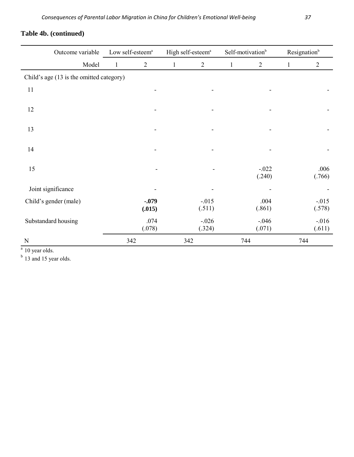# **Table 4b. (continued)**

| Outcome variable                         | Low self-esteem <sup>a</sup> |                | High self-esteem <sup>a</sup> | Self-motivation <sup>b</sup> |              |                   | Resignation <sup>b</sup> |                |
|------------------------------------------|------------------------------|----------------|-------------------------------|------------------------------|--------------|-------------------|--------------------------|----------------|
| Model                                    | $\mathbf{1}$                 | $\overline{2}$ | $\mathbf{1}$                  | $\overline{2}$               | $\mathbf{1}$ | $\overline{2}$    | $\mathbf{1}$             | $\overline{2}$ |
| Child's age (13 is the omitted category) |                              |                |                               |                              |              |                   |                          |                |
| 11                                       |                              |                |                               |                              |              |                   |                          |                |
|                                          |                              |                |                               |                              |              |                   |                          |                |
| 12                                       |                              |                |                               |                              |              |                   |                          |                |
| 13                                       |                              |                |                               |                              |              |                   |                          |                |
|                                          |                              |                |                               |                              |              |                   |                          |                |
| 14                                       |                              |                |                               |                              |              |                   |                          |                |
|                                          |                              |                |                               |                              |              |                   |                          |                |
| 15                                       |                              |                |                               |                              |              | $-.022$<br>(.240) |                          | .006<br>(.766) |
| Joint significance                       |                              |                |                               |                              |              |                   |                          |                |
| Child's gender (male)                    |                              | $-.079$        |                               | $-0.015$                     |              | .004              |                          | $-0.015$       |
|                                          |                              | (.015)         |                               | (.511)                       |              | (.861)            |                          | (.578)         |
| Substandard housing                      |                              | .074           |                               | $-.026$                      |              | $-.046$           |                          | $-0.016$       |
|                                          |                              | (.078)         |                               | (.324)                       |              | (.071)            |                          | (.611)         |
| N                                        | 342                          |                | 342                           |                              | 744          |                   | 744                      |                |

 $a$  10 year olds.

<sup>b</sup> 13 and 15 year olds.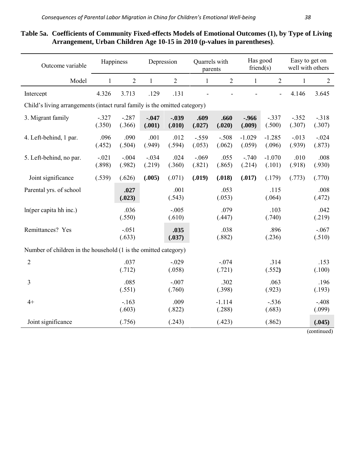## **Table 5a. Coefficients of Community Fixed-effects Models of Emotional Outcomes (1), by Type of Living Arrangement, Urban Children Age 10-15 in 2010 (p-values in parentheses)**.

| Outcome variable                                                          | Happiness         |                   | Depression        |                   | Quarrels with<br>parents |                    | Has good<br>friend(s) |                    | Easy to get on<br>well with others |                       |
|---------------------------------------------------------------------------|-------------------|-------------------|-------------------|-------------------|--------------------------|--------------------|-----------------------|--------------------|------------------------------------|-----------------------|
| Model                                                                     | $\mathbf{1}$      | $\overline{2}$    | $\mathbf{1}$      | $\overline{2}$    | $\mathbf{1}$             | $\overline{c}$     | $\mathbf{1}$          | $\overline{2}$     | $\mathbf{1}$                       | 2                     |
| Intercept                                                                 | 4.326             | 3.713             | .129              | .131              |                          |                    |                       | ÷,                 | 4.146                              | 3.645                 |
| Child's living arrangements (intact rural family is the omitted category) |                   |                   |                   |                   |                          |                    |                       |                    |                                    |                       |
| 3. Migrant family                                                         | $-.327$<br>(.350) | $-.287$<br>(.366) | $-.047$<br>(.001) | $-.039$<br>(.010) | .609<br>(.027)           | .660<br>(.020)     | $-0.966$<br>(.009)    | $-.337$<br>(.500)  | $-.352$<br>(.307)                  | $-.318$<br>(.307)     |
| 4. Left-behind, 1 par.                                                    | .096<br>(.452)    | .090<br>(.504)    | .001<br>(.949)    | .012<br>(.594)    | $-.559$<br>(.053)        | $-.508$<br>(.062)  | $-1.029$<br>(.059)    | $-1.285$<br>(.096) | $-.013$<br>(.939)                  | $-.024$<br>(.873)     |
| 5. Left-behind, no par.                                                   | $-.021$<br>(.898) | $-.004$<br>(.982) | $-.034$<br>(.219) | .024<br>(.360)    | $-.069$<br>(.821)        | .055<br>(.865)     | $-.740$<br>(.214)     | $-1.070$<br>(.101) | .010<br>(.918)                     | .008<br>(.930)        |
| Joint significance                                                        | (.539)            | (.626)            | (.005)            | (.071)            | (.019)                   | (.018)             | (.017)                | (.179)             | (.773)                             | (.770)                |
| Parental yrs. of school                                                   |                   | .027<br>(.023)    |                   | .001<br>(.543)    |                          | .053<br>(.053)     |                       | .115<br>(.064)     |                                    | .008<br>(.472)        |
| ln(per capita hh inc.)                                                    |                   | .036<br>(.550)    |                   | $-.005$<br>(.610) |                          | .079<br>(.447)     |                       | .103<br>(.740)     |                                    | .042<br>(.219)        |
| Remittances? Yes                                                          |                   | $-.051$<br>(.633) |                   | .035<br>(.037)    |                          | .038<br>(.882)     |                       | .896<br>(.236)     |                                    | $-.067$<br>(.510)     |
| Number of children in the household (1 is the omitted category)           |                   |                   |                   |                   |                          |                    |                       |                    |                                    |                       |
| $\overline{2}$                                                            |                   | .037<br>(.712)    |                   | $-.029$<br>(.058) |                          | $-.074$<br>(.721)  |                       | .314<br>(.552)     |                                    | .153<br>(.100)        |
| $\overline{\mathbf{3}}$                                                   |                   | .085<br>(.551)    |                   | $-.007$<br>(.760) |                          | .302<br>(.398)     |                       | .063<br>(.923)     |                                    | .196<br>(.193)        |
| $4+$                                                                      |                   | $-163$<br>(.603)  |                   | .009<br>(.822)    |                          | $-1.114$<br>(.288) |                       | $-.536$<br>(.683)  |                                    | $-.408$<br>(.099)     |
| Joint significance                                                        |                   | (.756)            |                   | (.243)            |                          | (.423)             |                       | (.862)             |                                    | (.045)<br>(continued) |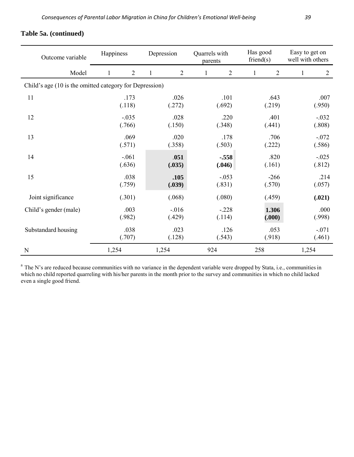| Outcome variable                                        | Happiness      | Depression     | Quarrels with<br>parents | Has good<br>friend $(s)$ | Easy to get on<br>well with others |
|---------------------------------------------------------|----------------|----------------|--------------------------|--------------------------|------------------------------------|
| Model                                                   | $\overline{2}$ | $\overline{2}$ | $\overline{2}$           | $\mathbf{1}$             | $\mathbf{1}$                       |
|                                                         | 1              | 1              | $\mathbf{1}$             | $\overline{2}$           | $\overline{2}$                     |
| Child's age (10 is the omitted category for Depression) |                |                |                          |                          |                                    |
| 11                                                      | .173           | .026           | .101                     | .643                     | .007                               |
|                                                         | (.118)         | (.272)         | (.692)                   | (.219)                   | (.950)                             |
| 12                                                      | $-.035$        | .028           | .220                     | .401                     | $-.032$                            |
|                                                         | (.766)         | (.150)         | (.348)                   | (.441)                   | (.808)                             |
| 13                                                      | .069           | .020           | .178                     | .706                     | $-.072$                            |
|                                                         | (.571)         | (.358)         | (.503)                   | (.222)                   | (.586)                             |
| 14                                                      | $-.061$        | .051           | $-.558$                  | .820                     | $-.025$                            |
|                                                         | (.636)         | (.035)         | (.046)                   | (.161)                   | (.812)                             |
| 15                                                      | .038           | .105           | $-.053$                  | $-266$                   | .214                               |
|                                                         | (.759)         | (.039)         | (.831)                   | (.570)                   | (.057)                             |
| Joint significance                                      | (.301)         | (.068)         | (.080)                   | (.459)                   | (.021)                             |
| Child's gender (male)                                   | .003           | $-0.016$       | $-.228$                  | 1.306                    | .000                               |
|                                                         | (.982)         | (.429)         | (.114)                   | (000)                    | (.998)                             |
| Substandard housing                                     | .038           | .023           | .126                     | .053                     | $-.071$                            |
|                                                         | (.707)         | (.128)         | (.543)                   | (.918)                   | (.461)                             |
| N                                                       | 1,254          | 1,254          | 924                      | 258                      | 1,254                              |

### **Table 5a. (continued)**

<sup>a</sup> The N's are reduced because communities with no variance in the dependent variable were dropped by Stata, i.e., communities in which no child reported quarreling with his/her parents in the month prior to the survey and communities in which no child lacked even a single good friend.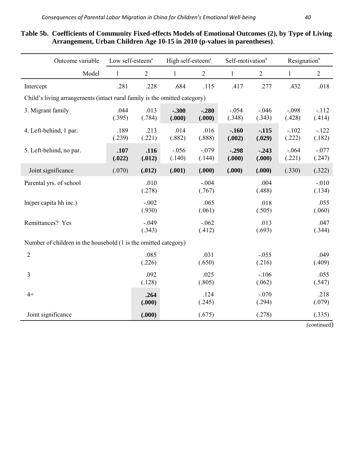## **Table 5b. Coefficients of Community Fixed-effects Models of Emotional Outcomes (2), by Type of Living Arrangement, Urban Children Age 10-15 in 2010 (p-values in parentheses)**.

| Outcome variable                                                          | Low self-esteem <sup>a</sup> |                   | High self-esteem <sup>a</sup> |                   | Self-motivation <sup>b</sup> |                    | Resignation <sup>b</sup> |                   |  |
|---------------------------------------------------------------------------|------------------------------|-------------------|-------------------------------|-------------------|------------------------------|--------------------|--------------------------|-------------------|--|
| Model                                                                     | $\mathbf{1}$                 | 2                 | $\mathbf{1}$                  | $\overline{2}$    | $\mathbf{1}$                 | $\sqrt{2}$         | $\mathbf{1}$             | $\overline{2}$    |  |
| Intercept                                                                 | .281                         | .228              | .684                          | .115              | .417                         | .277               | .432                     | .018              |  |
| Child's living arrangements (intact rural family is the omitted category) |                              |                   |                               |                   |                              |                    |                          |                   |  |
| 3. Migrant family                                                         | .044<br>(.395)               | .013<br>(.784)    | $-.300$<br>(.000)             | $-.280$<br>(.000) | $-.054$<br>(.348)            | $-.046$<br>(.343)  | $-.098$<br>(.428)        | $-112$<br>(.414)  |  |
| 4. Left-behind, 1 par.                                                    | .189<br>(.239)               | .213<br>(.221)    | .014<br>(.882)                | .016<br>(.888)    | $-.160$<br>(.002)            | $-0.115$<br>(.029) | $-.102$<br>(.222)        | $-122$<br>(.182)  |  |
| 5. Left-behind, no par.                                                   | .107<br>(.022)               | .116<br>(.012)    | $-.056$<br>(.140)             | $-.079$<br>(.144) | $-.298$<br>(.000)            | $-.243$<br>(.000)  | $-.064$<br>(.221)        | $-.077$<br>(.247) |  |
| Joint significance                                                        | (.070)                       | (.012)            | (.001)                        | (.000)            | (.000)                       | (.000)             | (.330)                   | (.322)            |  |
| Parental yrs. of school                                                   |                              | .010<br>(.278)    |                               | $-.004$<br>(.767) |                              | .004<br>(.488)     |                          | $-.010$<br>(.134) |  |
| ln(per capita hh inc.)                                                    |                              | $-.002$<br>(.930) |                               | .065<br>(.061)    |                              | .018<br>(.505)     |                          | .055<br>(.060)    |  |
| Remittances? Yes                                                          |                              | $-.049$<br>(.343) |                               | $-.062$<br>(.412) |                              | .013<br>(.693)     |                          | .047<br>(.344)    |  |
| Number of children in the household (1 is the omitted category)           |                              |                   |                               |                   |                              |                    |                          |                   |  |
| $\overline{2}$                                                            |                              | .085<br>(.226)    |                               | .031<br>(.650)    |                              | $-.055$<br>(.216)  |                          | .049<br>(.409)    |  |
| 3                                                                         |                              | .092<br>(.128)    |                               | .025<br>(.805)    |                              | $-.106$<br>(.062)  |                          | .055<br>(.547)    |  |
| $4+$                                                                      |                              | .264<br>(.000)    |                               | .124<br>(.245)    |                              | $-.070$<br>(.294)  |                          | .218<br>(.079)    |  |
| Joint significance                                                        |                              | (.000)            |                               | (.675)            |                              | (.278)             |                          | (.335)            |  |

j.

(continued)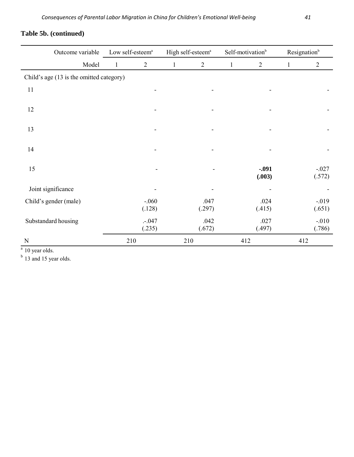# **Table 5b. (continued)**

| Outcome variable                         | Low self-esteem <sup>a</sup>   | High self-esteem <sup>a</sup>  | Self-motivation <sup>b</sup>   | Resignation <sup>b</sup>       |  |  |  |  |
|------------------------------------------|--------------------------------|--------------------------------|--------------------------------|--------------------------------|--|--|--|--|
| Model                                    | $\mathbf{1}$<br>$\overline{2}$ | $\overline{2}$<br>$\mathbf{1}$ | $\overline{2}$<br>$\mathbf{1}$ | $\overline{2}$<br>$\mathbf{1}$ |  |  |  |  |
| Child's age (13 is the omitted category) |                                |                                |                                |                                |  |  |  |  |
| 11                                       |                                |                                |                                |                                |  |  |  |  |
| 12                                       |                                |                                |                                |                                |  |  |  |  |
| 13                                       |                                |                                |                                |                                |  |  |  |  |
| 14                                       |                                |                                |                                |                                |  |  |  |  |
| 15                                       |                                |                                | $-.091$<br>(.003)              | $-.027$<br>(.572)              |  |  |  |  |
| Joint significance                       |                                |                                |                                |                                |  |  |  |  |
| Child's gender (male)                    | $-.060$<br>(.128)              | .047<br>(.297)                 | .024<br>(.415)                 | $-0.019$<br>(.651)             |  |  |  |  |
| Substandard housing                      | $. -047$<br>(.235)             | .042<br>(.672)                 | .027<br>(.497)                 | $-.010$<br>(.786)              |  |  |  |  |
| N                                        | 210                            | 210                            | 412                            | 412                            |  |  |  |  |

 $a$  10 year olds.

<sup>b</sup> 13 and 15 year olds.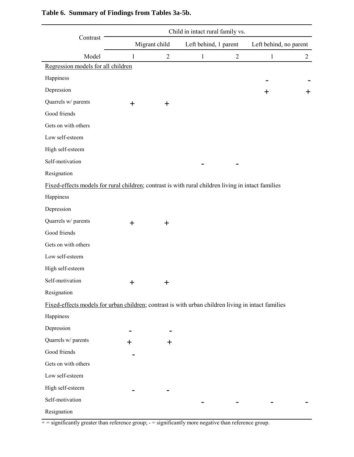| Contrast                                                                                           | Child in intact rural family vs. |               |                       |            |                        |                |  |  |
|----------------------------------------------------------------------------------------------------|----------------------------------|---------------|-----------------------|------------|------------------------|----------------|--|--|
|                                                                                                    |                                  | Migrant child | Left behind, 1 parent |            | Left behind, no parent |                |  |  |
| Model                                                                                              | $\mathbf{1}$                     | $\sqrt{2}$    | $\mathbf{1}$          | $\sqrt{2}$ | $\mathbf{1}$           | $\overline{2}$ |  |  |
| Regression models for all children                                                                 |                                  |               |                       |            |                        |                |  |  |
| Happiness                                                                                          |                                  |               |                       |            |                        |                |  |  |
| Depression                                                                                         |                                  |               |                       |            | ╈                      | ┿              |  |  |
| Quarrels w/ parents                                                                                | $\pm$                            | $\pm$         |                       |            |                        |                |  |  |
| Good friends                                                                                       |                                  |               |                       |            |                        |                |  |  |
| Gets on with others                                                                                |                                  |               |                       |            |                        |                |  |  |
| Low self-esteem                                                                                    |                                  |               |                       |            |                        |                |  |  |
| High self-esteem                                                                                   |                                  |               |                       |            |                        |                |  |  |
| Self-motivation                                                                                    |                                  |               |                       |            |                        |                |  |  |
| Resignation                                                                                        |                                  |               |                       |            |                        |                |  |  |
| Fixed-effects models for rural children; contrast is with rural children living in intact families |                                  |               |                       |            |                        |                |  |  |
| Happiness                                                                                          |                                  |               |                       |            |                        |                |  |  |
| Depression                                                                                         |                                  |               |                       |            |                        |                |  |  |
| Quarrels w/ parents                                                                                | $\pm$                            | $\pm$         |                       |            |                        |                |  |  |
| Good friends                                                                                       |                                  |               |                       |            |                        |                |  |  |
| Gets on with others                                                                                |                                  |               |                       |            |                        |                |  |  |
| Low self-esteem                                                                                    |                                  |               |                       |            |                        |                |  |  |
| High self-esteem                                                                                   |                                  |               |                       |            |                        |                |  |  |
| Self-motivation                                                                                    | $\pm$                            | $\pm$         |                       |            |                        |                |  |  |
| Resignation                                                                                        |                                  |               |                       |            |                        |                |  |  |
| Fixed-effects models for urban children; contrast is with urban children living in intact families |                                  |               |                       |            |                        |                |  |  |
| Happiness                                                                                          |                                  |               |                       |            |                        |                |  |  |
| Depression                                                                                         |                                  |               |                       |            |                        |                |  |  |
| Quarrels w/ parents                                                                                | $\pm$                            | $\pm$         |                       |            |                        |                |  |  |
| Good friends                                                                                       |                                  |               |                       |            |                        |                |  |  |
| Gets on with others                                                                                |                                  |               |                       |            |                        |                |  |  |
| Low self-esteem                                                                                    |                                  |               |                       |            |                        |                |  |  |
| High self-esteem                                                                                   |                                  |               |                       |            |                        |                |  |  |
| Self-motivation                                                                                    |                                  |               |                       |            |                        |                |  |  |
| Resignation                                                                                        |                                  |               |                       |            |                        |                |  |  |

# **Table 6. Summary of Findings from Tables 3a-5b.**

 $+$  = significantly greater than reference group;  $-$  = significantly more negative than reference group.